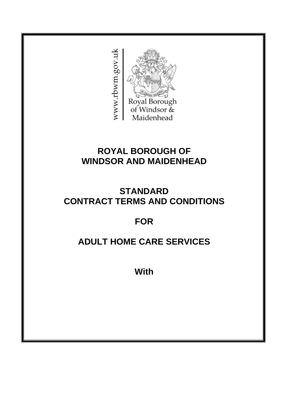

# **ROYAL BOROUGH OF WINDSOR AND MAIDENHEAD**

## **STANDARD CONTRACT TERMS AND CONDITIONS**

# **FOR**

# **ADULT HOME CARE SERVICES**

**With**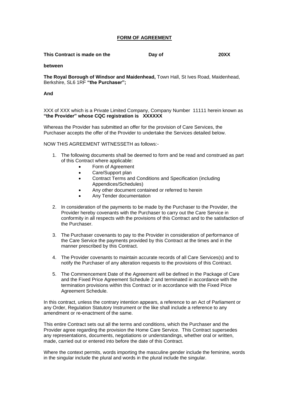#### **FORM OF AGREEMENT**

| This Contract is made on the | Day of | <b>20XX</b> |
|------------------------------|--------|-------------|
|                              |        |             |

**between**

**The Royal Borough of Windsor and Maidenhead,** Town Hall, St Ives Road, Maidenhead, Berkshire, SL6 1RF **"the Purchaser";**

**And**

XXX of XXX which is a Private Limited Company, Company Number 11111 herein known as **"the Provider" whose CQC registration is XXXXXX**

Whereas the Provider has submitted an offer for the provision of Care Services, the Purchaser accepts the offer of the Provider to undertake the Services detailed below.

NOW THIS AGREEMENT WITNESSETH as follows:-

- 1. The following documents shall be deemed to form and be read and construed as part of this Contract where applicable:
	- Form of Agreement
	- Care/Support plan
	- Contract Terms and Conditions and Specification (including Appendices/Schedules)
	- Any other document contained or referred to herein
	- Any Tender documentation
- 2. In consideration of the payments to be made by the Purchaser to the Provider, the Provider hereby covenants with the Purchaser to carry out the Care Service in conformity in all respects with the provisions of this Contract and to the satisfaction of the Purchaser.
- 3. The Purchaser covenants to pay to the Provider in consideration of performance of the Care Service the payments provided by this Contract at the times and in the manner prescribed by this Contract.
- 4. The Provider covenants to maintain accurate records of all Care Services(s) and to notify the Purchaser of any alteration requests to the provisions of this Contract.
- 5. The Commencement Date of the Agreement will be defined in the Package of Care and the Fixed Price Agreement Schedule 2 and terminated in accordance with the termination provisions within this Contract or in accordance with the Fixed Price Agreement Schedule.

In this contract, unless the contrary intention appears, a reference to an Act of Parliament or any Order, Regulation Statutory Instrument or the like shall include a reference to any amendment or re-enactment of the same.

This entire Contract sets out all the terms and conditions, which the Purchaser and the Provider agree regarding the provision the Home Care Service. This Contract supersedes any representations, documents, negotiations or understandings, whether oral or written, made, carried out or entered into before the date of this Contract.

Where the context permits, words importing the masculine gender include the feminine, words in the singular include the plural and words in the plural include the singular.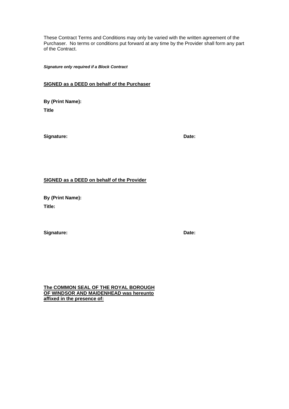These Contract Terms and Conditions may only be varied with the written agreement of the Purchaser. No terms or conditions put forward at any time by the Provider shall form any part of the Contract.

*Signature only required if a Block Contract*

#### **SIGNED as a DEED on behalf of the Purchaser**

**By (Print Name): Title**

**Signature: Date:**

#### **SIGNED as a DEED on behalf of the Provider**

**By (Print Name): Title:**

**Signature: Date:**

**The COMMON SEAL OF THE ROYAL BOROUGH OF WINDSOR AND MAIDENHEAD was hereunto affixed in the presence of:**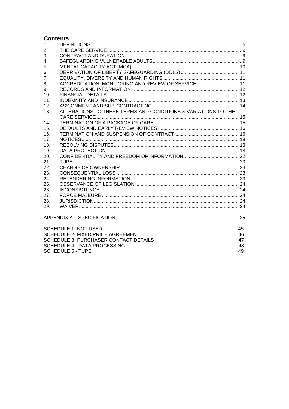### **Contents**

<span id="page-3-0"></span>

| 2.<br>3.<br>$\overline{4}$ .                                         |    |  |  |  |  |  |
|----------------------------------------------------------------------|----|--|--|--|--|--|
|                                                                      |    |  |  |  |  |  |
|                                                                      |    |  |  |  |  |  |
|                                                                      |    |  |  |  |  |  |
| 5.                                                                   |    |  |  |  |  |  |
| 6.                                                                   |    |  |  |  |  |  |
| 7.                                                                   |    |  |  |  |  |  |
| ACCREDITATION, MONITORING AND REVIEW OF SERVICE11<br>8.              |    |  |  |  |  |  |
| 9.                                                                   |    |  |  |  |  |  |
| 10.                                                                  |    |  |  |  |  |  |
| 11.                                                                  |    |  |  |  |  |  |
| 12.                                                                  |    |  |  |  |  |  |
| ALTERATIONS TO THESE TERMS AND CONDITIONS & VARIATIONS TO THE<br>13. |    |  |  |  |  |  |
|                                                                      |    |  |  |  |  |  |
| 14.                                                                  |    |  |  |  |  |  |
| 15.                                                                  |    |  |  |  |  |  |
| 16.                                                                  |    |  |  |  |  |  |
| 17.                                                                  |    |  |  |  |  |  |
| 18.                                                                  |    |  |  |  |  |  |
| 19.                                                                  |    |  |  |  |  |  |
| 20.                                                                  |    |  |  |  |  |  |
| 21.                                                                  |    |  |  |  |  |  |
| 22.                                                                  |    |  |  |  |  |  |
| 23.                                                                  |    |  |  |  |  |  |
| 24.                                                                  |    |  |  |  |  |  |
| 25.                                                                  |    |  |  |  |  |  |
| 26.                                                                  |    |  |  |  |  |  |
| 27.                                                                  |    |  |  |  |  |  |
| 28.                                                                  |    |  |  |  |  |  |
| 29.                                                                  |    |  |  |  |  |  |
|                                                                      |    |  |  |  |  |  |
| <b>SCHEDULE 1- NOT USED</b>                                          | 45 |  |  |  |  |  |
| <b>SCHEDULE 2- FIXED PRICE AGREEMENT</b>                             | 46 |  |  |  |  |  |
| <b>SCHEDULE 3- PURCHASER CONTACT DETAILS</b>                         | 47 |  |  |  |  |  |
| SCHEDULE 4 - DATA PROCESSING                                         | 48 |  |  |  |  |  |
| <b>SCHEDULE 5 - TUPE</b>                                             | 49 |  |  |  |  |  |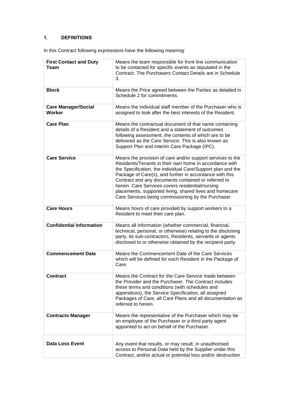### **1. DEFINITIONS**

In this Contract following expressions have the following meaning:

| <b>First Contact and Duty</b><br>Team | Means the team responsible for front line communication<br>to be contacted for specific events as stipulated in the<br>Contract. The Purchasers Contact Details are in Schedule<br>3.                                                                                                                                                                                                                                                                                       |
|---------------------------------------|-----------------------------------------------------------------------------------------------------------------------------------------------------------------------------------------------------------------------------------------------------------------------------------------------------------------------------------------------------------------------------------------------------------------------------------------------------------------------------|
| <b>Block</b>                          | Means the Price agreed between the Parties as detailed in<br>Schedule 2 for commitments.                                                                                                                                                                                                                                                                                                                                                                                    |
| <b>Care Manager/Social</b><br>Worker  | Means the individual staff member of the Purchaser who is<br>assigned to look after the best interests of the Resident.                                                                                                                                                                                                                                                                                                                                                     |
| <b>Care Plan</b>                      | Means the contractual document of that name containing<br>details of a Resident and a statement of outcomes<br>following assessment, the contents of which are to be<br>delivered as the Care Service. This is also known as<br>Support Plan and Interim Care Package (IPC).                                                                                                                                                                                                |
| <b>Care Service</b>                   | Means the provision of care and/or support services to the<br>Residents/Tenants in their own home in accordance with<br>the Specification, the individual Care/Support plan and the<br>Package of Care(s), and further in accordance with this<br>Contract and any documents contained or referred to<br>herein. Care Services covers residential/nursing<br>placements, supported living, shared lives and homecare<br>Care Services being commissioning by the Purchaser. |
| <b>Care Hours</b>                     | Means hours of care provided by support workers to a<br>Resident to meet their care plan.                                                                                                                                                                                                                                                                                                                                                                                   |
| <b>Confidential Information</b>       | Means all information (whether commercial, financial,<br>technical, personal, or otherwise) relating to the disclosing<br>party, its sub-contractors, Residents, servants or agents<br>disclosed to or otherwise obtained by the recipient party.                                                                                                                                                                                                                           |
| <b>Commencement Date</b>              | Means the Commencement Date of the Care Services<br>which will be defined for each Resident in the Package of<br>Care.                                                                                                                                                                                                                                                                                                                                                      |
| <b>Contract</b>                       | Means the Contract for the Care Service made between<br>the Provider and the Purchaser. The Contract includes<br>these terms and conditions (with schedules and<br>appendices), the Service Specification, all assigned<br>Packages of Care, all Care Plans and all documentation as<br>referred to herein.                                                                                                                                                                 |
| <b>Contracts Manager</b>              | Means the representative of the Purchaser which may be<br>an employee of the Purchaser or a third party agent<br>appointed to act on behalf of the Purchaser.                                                                                                                                                                                                                                                                                                               |
| <b>Data Loss Event</b>                | Any event that results, or may result, in unauthorised<br>access to Personal Data held by the Supplier under this<br>Contract, and/or actual or potential loss and/or destruction                                                                                                                                                                                                                                                                                           |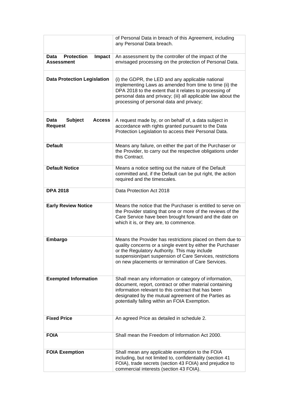|                                                                  | of Personal Data in breach of this Agreement, including<br>any Personal Data breach.                                                                                                                                                                                                        |
|------------------------------------------------------------------|---------------------------------------------------------------------------------------------------------------------------------------------------------------------------------------------------------------------------------------------------------------------------------------------|
| <b>Protection</b><br>Impact<br><b>Data</b><br><b>Assessment</b>  | An assessment by the controller of the impact of the<br>envisaged processing on the protection of Personal Data.                                                                                                                                                                            |
| <b>Data Protection Legislation</b>                               | (i) the GDPR, the LED and any applicable national<br>implementing Laws as amended from time to time (ii) the<br>DPA 2018 to the extent that it relates to processing of<br>personal data and privacy; (iii) all applicable law about the<br>processing of personal data and privacy;        |
| <b>Data</b><br><b>Subject</b><br><b>Access</b><br><b>Request</b> | A request made by, or on behalf of, a data subject in<br>accordance with rights granted pursuant to the Data<br>Protection Legislation to access their Personal Data.                                                                                                                       |
| <b>Default</b>                                                   | Means any failure, on either the part of the Purchaser or<br>the Provider, to carry out the respective obligations under<br>this Contract.                                                                                                                                                  |
| <b>Default Notice</b>                                            | Means a notice setting out the nature of the Default<br>committed and, if the Default can be put right, the action<br>required and the timescales.                                                                                                                                          |
| <b>DPA 2018</b>                                                  | Data Protection Act 2018                                                                                                                                                                                                                                                                    |
| <b>Early Review Notice</b>                                       | Means the notice that the Purchaser is entitled to serve on<br>the Provider stating that one or more of the reviews of the<br>Care Service have been brought forward and the date on<br>which it is, or they are, to commence.                                                              |
| <b>Embargo</b>                                                   | Means the Provider has restrictions placed on them due to<br>quality concerns or a single event by either the Purchaser<br>or the Regulatory Authority. This may include<br>suspension/part suspension of Care Services, restrictions<br>on new placements or termination of Care Services. |
| <b>Exempted Information</b>                                      | Shall mean any information or category of information,<br>document, report, contract or other material containing<br>information relevant to this contract that has been<br>designated by the mutual agreement of the Parties as<br>potentially falling within an FOIA Exemption.           |
| <b>Fixed Price</b>                                               | An agreed Price as detailed in schedule 2.                                                                                                                                                                                                                                                  |
| <b>FOIA</b>                                                      | Shall mean the Freedom of Information Act 2000.                                                                                                                                                                                                                                             |
| <b>FOIA Exemption</b>                                            | Shall mean any applicable exemption to the FOIA<br>including, but not limited to, confidentiality (section 41<br>FOIA), trade secrets (section 43 FOIA) and prejudice to<br>commercial interests (section 43 FOIA).                                                                         |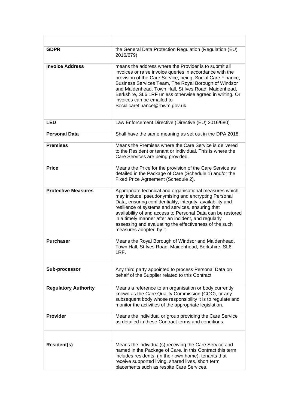| <b>GDPR</b>                 | the General Data Protection Regulation (Regulation (EU)<br>2016/679)                                                                                                                                                                                                                                                                                                                                                                         |
|-----------------------------|----------------------------------------------------------------------------------------------------------------------------------------------------------------------------------------------------------------------------------------------------------------------------------------------------------------------------------------------------------------------------------------------------------------------------------------------|
| <b>Invoice Address</b>      | means the address where the Provider is to submit all<br>invoices or raise invoice queries in accordance with the<br>provision of the Care Service, being, Social Care Finance,<br>Business Services Team, The Royal Borough of Windsor<br>and Maidenhead, Town Hall, St Ives Road, Maidenhead,<br>Berkshire, SL6 1RF unless otherwise agreed in writing. Or<br>invoices can be emailed to<br>Socialcarefinance@rbwm.gov.uk                  |
| <b>LED</b>                  | Law Enforcement Directive (Directive (EU) 2016/680)                                                                                                                                                                                                                                                                                                                                                                                          |
| <b>Personal Data</b>        | Shall have the same meaning as set out in the DPA 2018.                                                                                                                                                                                                                                                                                                                                                                                      |
| <b>Premises</b>             | Means the Premises where the Care Service is delivered<br>to the Resident or tenant or individual. This is where the<br>Care Services are being provided.                                                                                                                                                                                                                                                                                    |
| <b>Price</b>                | Means the Price for the provision of the Care Service as<br>detailed in the Package of Care (Schedule 1) and/or the<br>Fixed Price Agreement (Schedule 2).                                                                                                                                                                                                                                                                                   |
| <b>Protective Measures</b>  | Appropriate technical and organisational measures which<br>may include: pseudonymising and encrypting Personal<br>Data, ensuring confidentiality, integrity, availability and<br>resilience of systems and services, ensuring that<br>availability of and access to Personal Data can be restored<br>in a timely manner after an incident, and regularly<br>assessing and evaluating the effectiveness of the such<br>measures adopted by it |
| <b>Purchaser</b>            | Means the Royal Borough of Windsor and Maidenhead,<br>Town Hall, St Ives Road, Maidenhead, Berkshire, SL6<br>1RF.                                                                                                                                                                                                                                                                                                                            |
| Sub-processor               | Any third party appointed to process Personal Data on<br>behalf of the Supplier related to this Contract                                                                                                                                                                                                                                                                                                                                     |
| <b>Regulatory Authority</b> | Means a reference to an organisation or body currently<br>known as the Care Quality Commission (CQC), or any<br>subsequent body whose responsibility it is to regulate and<br>monitor the activities of the appropriate legislation.                                                                                                                                                                                                         |
| <b>Provider</b>             | Means the individual or group providing the Care Service<br>as detailed in these Contract terms and conditions.                                                                                                                                                                                                                                                                                                                              |
|                             |                                                                                                                                                                                                                                                                                                                                                                                                                                              |
| <b>Resident(s)</b>          | Means the individual(s) receiving the Care Service and<br>named in the Package of Care. In this Contract this term<br>includes residents, (in their own home), tenants that<br>receive supported living, shared lives, short term<br>placements such as respite Care Services.                                                                                                                                                               |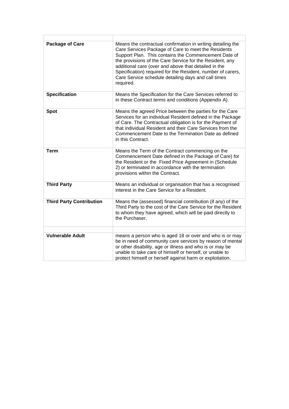<span id="page-7-0"></span>

| <b>Package of Care</b>          | Means the contractual confirmation in writing detailing the<br>Care Services Package of Care to meet the Residents<br>Support Plan. This contains the Commencement Date of<br>the provisions of the Care Service for the Resident, any<br>additional care (over and above that detailed in the<br>Specification) required for the Resident, number of carers,<br>Care Service schedule detailing days and call times<br>required. |
|---------------------------------|-----------------------------------------------------------------------------------------------------------------------------------------------------------------------------------------------------------------------------------------------------------------------------------------------------------------------------------------------------------------------------------------------------------------------------------|
| <b>Specification</b>            | Means the Specification for the Care Services referred to<br>in these Contract terms and conditions (Appendix A).                                                                                                                                                                                                                                                                                                                 |
| <b>Spot</b>                     | Means the agreed Price between the parties for the Care<br>Services for an individual Resident defined in the Package<br>of Care. The Contractual obligation is for the Payment of<br>that individual Resident and their Care Services from the<br>Commencement Date to the Termination Date as defined<br>in this Contract.                                                                                                      |
| <b>Term</b>                     | Means the Term of the Contract commencing on the<br>Commencement Date defined in the Package of Care) for<br>the Resident or the Fixed Price Agreement in (Schedule<br>2) or terminated in accordance with the termination<br>provisions within the Contract.                                                                                                                                                                     |
| <b>Third Party</b>              | Means an individual or organisation that has a recognised<br>interest in the Care Service for a Resident.                                                                                                                                                                                                                                                                                                                         |
| <b>Third Party Contribution</b> | Means the (assessed) financial contribution (if any) of the<br>Third Party to the cost of the Care Service for the Resident<br>to whom they have agreed, which will be paid directly to<br>the Purchaser.                                                                                                                                                                                                                         |
|                                 |                                                                                                                                                                                                                                                                                                                                                                                                                                   |
| <b>Vulnerable Adult</b>         | means a person who is aged 18 or over and who is or may<br>be in need of community care services by reason of mental<br>or other disability, age or illness and who is or may be<br>unable to take care of himself or herself, or unable to<br>protect himself or herself against harm or exploitation.                                                                                                                           |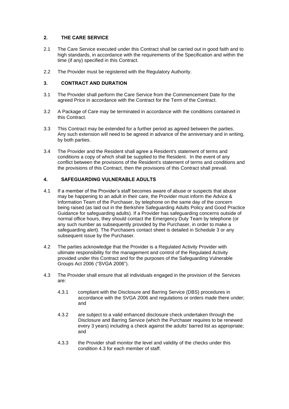#### **2. THE CARE SERVICE**

- 2.1 The Care Service executed under this Contract shall be carried out in good faith and to high standards, in accordance with the requirements of the Specification and within the time (if any) specified in this Contract.
- <span id="page-8-0"></span>2.2 The Provider must be registered with the Regulatory Authority.

#### **3. CONTRACT AND DURATION**

- 3.1 The Provider shall perform the Care Service from the Commencement Date for the agreed Price in accordance with the Contract for the Term of the Contract.
- 3.2 A Package of Care may be terminated in accordance with the conditions contained in this Contract.
- 3.3 This Contract may be extended for a further period as agreed between the parties. Any such extension will need to be agreed in advance of the anniversary and in writing, by both parties.
- 3.4 The Provider and the Resident shall agree a Resident's statement of terms and conditions a copy of which shall be supplied to the Resident. In the event of any conflict between the provisions of the Resident's statement of terms and conditions and the provisions of this Contract, then the provisions of this Contract shall prevail.

#### <span id="page-8-1"></span>**4. SAFEGUARDING VULNERABLE ADULTS**

- 4.1 If a member of the Provider's staff becomes aware of abuse or suspects that abuse may be happening to an adult in their care, the Provider must inform the Advice & Information Team of the Purchaser, by telephone on the same day of the concern being raised (as laid out in the Berkshire Safeguarding Adults Policy and Good Practice Guidance for safeguarding adults). If a Provider has safeguarding concerns outside of normal office hours, they should contact the Emergency Duty Team by telephone (or any such number as subsequently provided by the Purchaser, in order to make a safeguarding alert). The Purchasers contact sheet is detailed in Schedule 3 or any subsequent issue by the Purchaser.
- 4.2 The parties acknowledge that the Provider is a Regulated Activity Provider with ultimate responsibility for the management and control of the Regulated Activity provided under this Contract and for the purposes of the Safeguarding Vulnerable Groups Act 2006 ("SVGA 2006").
- 4.3 The Provider shall ensure that all individuals engaged in the provision of the Services are:
	- 4.3.1 compliant with the Disclosure and Barring Service (DBS) procedures in accordance with the SVGA 2006 and regulations or orders made there under; and
	- 4.3.2 are subject to a valid enhanced disclosure check undertaken through the Disclosure and Barring Service (which the Purchaser requires to be renewed every 3 years) including a check against the adults' barred list as appropriate; and
	- 4.3.3 the Provider shall monitor the level and validity of the checks under this condition 4.3 for each member of staff.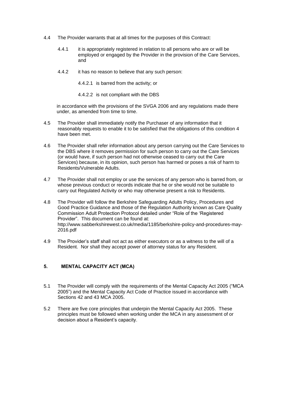- 4.4 The Provider warrants that at all times for the purposes of this Contract:
	- 4.4.1 it is appropriately registered in relation to all persons who are or will be employed or engaged by the Provider in the provision of the Care Services, and
	- 4.4.2 it has no reason to believe that any such person:
		- 4.4.2.1 is barred from the activity; or
		- 4.4.2.2 is not compliant with the DBS

in accordance with the provisions of the SVGA 2006 and any regulations made there under, as amended from time to time.

- 4.5 The Provider shall immediately notify the Purchaser of any information that it reasonably requests to enable it to be satisfied that the obligations of this [condition](http://publicsector.practicallaw.com/#a90061) 4 have been met.
- 4.6 The Provider shall refer information about any person carrying out the Care Services to the DBS where it removes permission for such person to carry out the Care Services (or would have, if such person had not otherwise ceased to carry out the Care Services) because, in its opinion, such person has harmed or poses a risk of harm to Residents/Vulnerable Adults.
- 4.7 The Provider shall not employ or use the services of any person who is barred from, or whose previous conduct or records indicate that he or she would not be suitable to carry out Regulated Activity or who may otherwise present a risk to Residents.
- 4.8 The Provider will follow the Berkshire Safeguarding Adults Policy, Procedures and Good Practice Guidance and those of the Regulation Authority known as Care Quality Commission Adult Protection Protocol detailed under "Role of the 'Registered Provider". This document can be found at: [http://www.sabberkshirewest.co.uk/media/1185/berkshire-policy-and-procedures-may-](http://www.sabberkshirewest.co.uk/media/1185/berkshire-policy-and-procedures-may-2016.pdf)[2016.pdf](http://www.sabberkshirewest.co.uk/media/1185/berkshire-policy-and-procedures-may-2016.pdf)
- 4.9 The Provider's staff shall not act as either executors or as a witness to the will of a Resident. Nor shall they accept power of attorney status for any Resident.

#### <span id="page-9-0"></span>**5. MENTAL CAPACITY ACT (MCA)**

- 5.1 The Provider will comply with the requirements of the Mental Capacity Act 2005 ("MCA 2005") and the Mental Capacity Act Code of Practice issued in accordance with Sections 42 and 43 MCA 2005.
- 5.2 There are five core principles that underpin the Mental Capacity Act 2005. These principles must be followed when working under the MCA in any assessment of or decision about a Resident's capacity.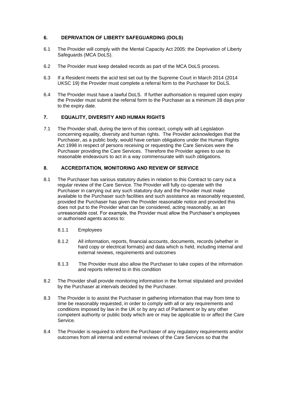#### <span id="page-10-0"></span>**6. DEPRIVATION OF LIBERTY SAFEGUARDING (DOLS)**

- 6.1 The Provider will comply with the Mental Capacity Act 2005: the Deprivation of Liberty Safeguards (MCA DoLS).
- 6.2 The Provider must keep detailed records as part of the MCA DoLS process.
- 6.3 If a Resident meets the acid test set out by the Supreme Court in March 2014 (2014 UKSC 19) the Provider must complete a referral form to the Purchaser for DoLS.
- 6.4 The Provider must have a lawful DoLS. If further authorisation is required upon expiry the Provider must submit the referral form to the Purchaser as a minimum 28 days prior to the expiry date.

#### <span id="page-10-1"></span>**7. EQUALITY, DIVERSITY AND HUMAN RIGHTS**

7.1 The Provider shall, during the term of this contract, comply with all Legislation concerning equality, diversity and human rights. The Provider acknowledges that the Purchaser, as a public body, would have certain obligations under the Human Rights Act 1998 in respect of persons receiving or requesting the Care Services were the Purchaser providing the Care Services. Therefore the Provider agrees to use its reasonable endeavours to act in a way commensurate with such obligations.

#### <span id="page-10-2"></span>**8. ACCREDITATION, MONITORING AND REVIEW OF SERVICE**

- 8.1 The Purchaser has various statutory duties in relation to this Contract to carry out a regular review of the Care Service. The Provider will fully co-operate with the Purchaser in carrying out any such statutory duty and the Provider must make available to the Purchaser such facilities and such assistance as reasonably requested, provided the Purchaser has given the Provider reasonable notice and provided this does not put to the Provider what can be considered, acting reasonably, as an unreasonable cost. For example, the Provider must allow the Purchaser's employees or authorised agents access to:
	- 8.1.1 Employees
	- 8.1.2 All information, reports, financial accounts, documents, records (whether in hard copy or electrical formats) and data which is held, including internal and external reviews, requirements and outcomes
	- 8.1.3 The Provider must also allow the Purchaser to take copies of the information and reports referred to in this condition
- 8.2 The Provider shall provide monitoring information in the format stipulated and provided by the Purchaser at intervals decided by the Purchaser.
- 8.3 The Provider is to assist the Purchaser in gathering information that may from time to time be reasonably requested, in order to comply with all or any requirements and conditions imposed by law in the UK or by any act of Parliament or by any other competent authority or public body which are or may be applicable to or affect the Care Service.
- 8.4 The Provider is required to inform the Purchaser of any regulatory requirements and/or outcomes from all internal and external reviews of the Care Services so that the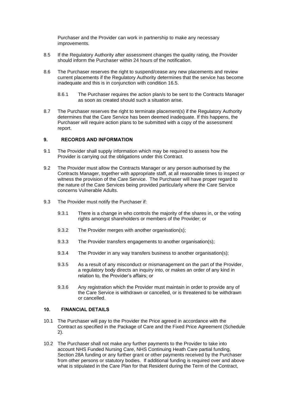Purchaser and the Provider can work in partnership to make any necessary improvements.

- 8.5 If the Regulatory Authority after assessment changes the quality rating, the Provider should inform the Purchaser within 24 hours of the notification.
- 8.6 The Purchaser reserves the right to suspend/cease any new placements and review current placements if the Regulatory Authority determines that the service has become inadequate and this is in conjunction with condition 16.5.
	- 8.6.1 The Purchaser requires the action plan/s to be sent to the Contracts Manager as soon as created should such a situation arise.
- 8.7 The Purchaser reserves the right to terminate placement(s) if the Regulatory Authority determines that the Care Service has been deemed inadequate. If this happens, the Purchaser will require action plans to be submitted with a copy of the assessment report.

#### <span id="page-11-0"></span>**9. RECORDS AND INFORMATION**

- 9.1 The Provider shall supply information which may be required to assess how the Provider is carrying out the obligations under this Contract.
- 9.2 The Provider must allow the Contracts Manager or any person authorised by the Contracts Manager, together with appropriate staff, at all reasonable times to inspect or witness the provision of the Care Service. The Purchaser will have proper regard to the nature of the Care Services being provided particularly where the Care Service concerns Vulnerable Adults.
- 9.3 The Provider must notify the Purchaser if:
	- 9.3.1 There is a change in who controls the majority of the shares in, or the voting rights amongst shareholders or members of the Provider; or
	- 9.3.2 The Provider merges with another organisation(s);
	- 9.3.3 The Provider transfers engagements to another organisation(s);
	- 9.3.4 The Provider in any way transfers business to another organisation(s);
	- 9.3.5 As a result of any misconduct or mismanagement on the part of the Provider, a regulatory body directs an inquiry into, or makes an order of any kind in relation to, the Provider's affairs; or
	- 9.3.6 Any registration which the Provider must maintain in order to provide any of the Care Service is withdrawn or cancelled, or is threatened to be withdrawn or cancelled.

#### <span id="page-11-1"></span>**10. FINANCIAL DETAILS**

- 10.1 The Purchaser will pay to the Provider the Price agreed in accordance with the Contract as specified in the Package of Care and the Fixed Price Agreement (Schedule 2).
- 10.2 The Purchaser shall not make any further payments to the Provider to take into account NHS Funded Nursing Care, NHS Continuing Heath Care partial funding, Section 28A funding or any further grant or other payments received by the Purchaser from other persons or statutory bodies. If additional funding is required over and above what is stipulated in the Care Plan for that Resident during the Term of the Contract,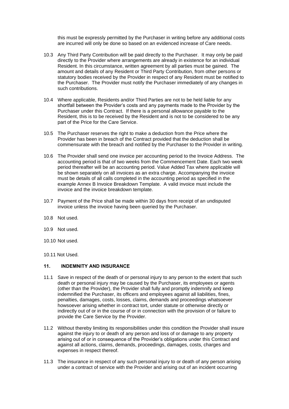this must be expressly permitted by the Purchaser in writing before any additional costs are incurred will only be done so based on an evidenced increase of Care needs.

- 10.3 Any Third Party Contribution will be paid directly to the Purchaser. It may only be paid directly to the Provider where arrangements are already in existence for an individual Resident. In this circumstance, written agreement by all parties must be gained. The amount and details of any Resident or Third Party Contribution, from other persons or statutory bodies received by the Provider in respect of any Resident must be notified to the Purchaser. The Provider must notify the Purchaser immediately of any changes in such contributions.
- 10.4 Where applicable, Residents and/or Third Parties are not to be held liable for any shortfall between the Provider's costs and any payments made to the Provider by the Purchaser under this Contract. If there is a personal allowance payable to the Resident, this is to be received by the Resident and is not to be considered to be any part of the Price for the Care Service.
- 10.5 The Purchaser reserves the right to make a deduction from the Price where the Provider has been in breach of the Contract provided that the deduction shall be commensurate with the breach and notified by the Purchaser to the Provider in writing.
- 10.6 The Provider shall send one invoice per accounting period to the Invoice Address. The accounting period is that of two weeks from the Commencement Date. Each two week period thereafter will be an accounting period. Value Added Tax where applicable will be shown separately on all invoices as an extra charge. Accompanying the invoice must be details of all calls completed in the accounting period as specified in the example Annex B Invoice Breakdown Template. A valid invoice must include the invoice and the invoice breakdown template.
- 10.7 Payment of the Price shall be made within 30 days from receipt of an undisputed invoice unless the invoice having been queried by the Purchaser.
- 10.8 Not used.
- 10.9 Not used.
- 10.10 Not used.
- <span id="page-12-0"></span>10.11 Not Used.

#### **11. INDEMNITY AND INSURANCE**

- 11.1 Save in respect of the death of or personal injury to any person to the extent that such death or personal injury may be caused by the Purchaser, its employees or agents (other than the Provider), the Provider shall fully and promptly indemnify and keep indemnified the Purchaser, its officers and employees against all liabilities, fines, penalties, damages, costs, losses, claims, demands and proceedings whatsoever howsoever arising whether in contract tort, under statute or otherwise directly or indirectly out of or in the course of or in connection with the provision of or failure to provide the Care Service by the Provider.
- 11.2 Without thereby limiting its responsibilities under this condition the Provider shall insure against the injury to or death of any person and loss of or damage to any property arising out of or in consequence of the Provider's obligations under this Contract and against all actions, claims, demands, proceedings, damages, costs, charges and expenses in respect thereof.
- 11.3 The insurance in respect of any such personal injury to or death of any person arising under a contract of service with the Provider and arising out of an incident occurring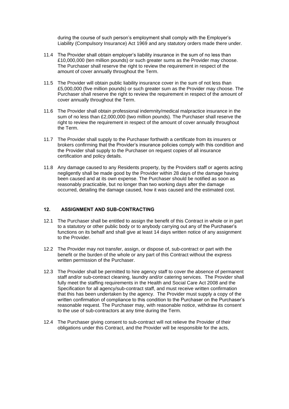during the course of such person's employment shall comply with the Employer's Liability (Compulsory Insurance) Act 1969 and any statutory orders made there under.

- 11.4 The Provider shall obtain employer's liability insurance in the sum of no less than £10,000,000 (ten million pounds) or such greater sums as the Provider may choose. The Purchaser shall reserve the right to review the requirement in respect of the amount of cover annually throughout the Term.
- 11.5 The Provider will obtain public liability insurance cover in the sum of not less than £5,000,000 (five million pounds) or such greater sum as the Provider may choose. The Purchaser shall reserve the right to review the requirement in respect of the amount of cover annually throughout the Term.
- 11.6 The Provider shall obtain professional indemnity/medical malpractice insurance in the sum of no less than £2,000,000 (two million pounds). The Purchaser shall reserve the right to review the requirement in respect of the amount of cover annually throughout the Term.
- 11.7 The Provider shall supply to the Purchaser forthwith a certificate from its insurers or brokers confirming that the Provider's insurance policies comply with this condition and the Provider shall supply to the Purchaser on request copies of all insurance certification and policy details.
- 11.8 Any damage caused to any Residents property, by the Providers staff or agents acting negligently shall be made good by the Provider within 28 days of the damage having been caused and at its own expense. The Purchaser should be notified as soon as reasonably practicable, but no longer than two working days after the damage occurred, detailing the damage caused, how it was caused and the estimated cost.

#### <span id="page-13-0"></span>**12. ASSIGNMENT AND SUB-CONTRACTING**

- 12.1 The Purchaser shall be entitled to assign the benefit of this Contract in whole or in part to a statutory or other public body or to anybody carrying out any of the Purchaser's functions on its behalf and shall give at least 14 days written notice of any assignment to the Provider.
- 12.2 The Provider may not transfer, assign, or dispose of, sub-contract or part with the benefit or the burden of the whole or any part of this Contract without the express written permission of the Purchaser.
- 12.3 The Provider shall be permitted to hire agency staff to cover the absence of permanent staff and/or sub-contract cleaning, laundry and/or catering services. The Provider shall fully meet the staffing requirements in the Health and Social Care Act 2008 and the Specification for all agency/sub-contract staff, and must receive written confirmation that this has been undertaken by the agency. The Provider must supply a copy of the written confirmation of compliance to this condition to the Purchaser on the Purchaser's reasonable request. The Purchaser may, with reasonable notice, withdraw its consent to the use of sub-contractors at any time during the Term.
- 12.4 The Purchaser giving consent to sub-contract will not relieve the Provider of their obligations under this Contract, and the Provider will be responsible for the acts,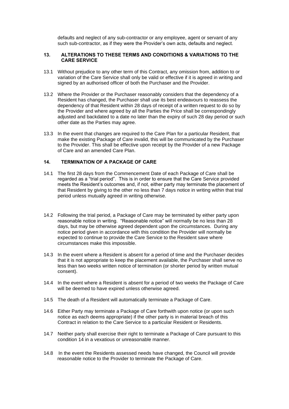defaults and neglect of any sub-contractor or any employee, agent or servant of any such sub-contractor, as if they were the Provider's own acts, defaults and neglect.

#### <span id="page-14-0"></span>**13. ALTERATIONS TO THESE TERMS AND CONDITIONS & VARIATIONS TO THE CARE SERVICE**

- 13.1 Without prejudice to any other term of this Contract, any omission from, addition to or variation of the Care Service shall only be valid or effective if it is agreed in writing and signed by an authorised officer of both the Purchaser and the Provider.
- 13.2 Where the Provider or the Purchaser reasonably considers that the dependency of a Resident has changed, the Purchaser shall use its best endeavours to reassess the dependency of that Resident within 28 days of receipt of a written request to do so by the Provider and where agreed by all the Parties the Price shall be correspondingly adjusted and backdated to a date no later than the expiry of such 28 day period or such other date as the Parties may agree.
- 13.3 In the event that changes are required to the Care Plan for a particular Resident, that make the existing Package of Care invalid, this will be communicated by the Purchaser to the Provider. This shall be effective upon receipt by the Provider of a new Package of Care and an amended Care Plan.

#### <span id="page-14-1"></span>**14. TERMINATION OF A PACKAGE OF CARE**

- 14.1 The first 28 days from the Commencement Date of each Package of Care shall be regarded as a "trial period". This is in order to ensure that the Care Service provided meets the Resident's outcomes and, if not, either party may terminate the placement of that Resident by giving to the other no less than 7 days notice in writing within that trial period unless mutually agreed in writing otherwise.
- 14.2 Following the trial period, a Package of Care may be terminated by either party upon reasonable notice in writing. "Reasonable notice" will normally be no less than 28 days, but may be otherwise agreed dependent upon the circumstances. During any notice period given in accordance with this condition the Provider will normally be expected to continue to provide the Care Service to the Resident save where circumstances make this impossible.
- 14.3 In the event where a Resident is absent for a period of time and the Purchaser decides that it is not appropriate to keep the placement available, the Purchaser shall serve no less than two weeks written notice of termination (or shorter period by written mutual consent).
- 14.4 In the event where a Resident is absent for a period of two weeks the Package of Care will be deemed to have expired unless otherwise agreed.
- 14.5 The death of a Resident will automatically terminate a Package of Care.
- 14.6 Either Party may terminate a Package of Care forthwith upon notice (or upon such notice as each deems appropriate) if the other party is in material breach of this Contract in relation to the Care Service to a particular Resident or Residents.
- 14.7 Neither party shall exercise their right to terminate a Package of Care pursuant to this condition 14 in a vexatious or unreasonable manner.
- 14.8 In the event the Residents assessed needs have changed, the Council will provide reasonable notice to the Provider to terminate the Package of Care.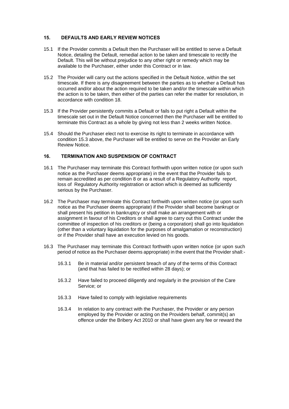#### <span id="page-15-0"></span>**15. DEFAULTS AND EARLY REVIEW NOTICES**

- 15.1 If the Provider commits a Default then the Purchaser will be entitled to serve a Default Notice, detailing the Default, remedial action to be taken and timescale to rectify the Default. This will be without prejudice to any other right or remedy which may be available to the Purchaser, either under this Contract or in law.
- 15.2 The Provider will carry out the actions specified in the Default Notice, within the set timescale. If there is any disagreement between the parties as to whether a Default has occurred and/or about the action required to be taken and/or the timescale within which the action is to be taken, then either of the parties can refer the matter for resolution, in accordance with condition 18.
- 15.3 If the Provider persistently commits a Default or fails to put right a Default within the timescale set out in the Default Notice concerned then the Purchaser will be entitled to terminate this Contract as a whole by giving not less than 2 weeks written Notice.
- 15.4 Should the Purchaser elect not to exercise its right to terminate in accordance with condition 15.3 above, the Purchaser will be entitled to serve on the Provider an Early Review Notice.

#### <span id="page-15-1"></span>**16. TERMINATION AND SUSPENSION OF CONTRACT**

- 16.1 The Purchaser may terminate this Contract forthwith upon written notice (or upon such notice as the Purchaser deems appropriate) in the event that the Provider fails to remain accredited as per condition 8 or as a result of a Regulatory Authority report, loss of Regulatory Authority registration or action which is deemed as sufficiently serious by the Purchaser.
- 16.2 The Purchaser may terminate this Contract forthwith upon written notice (or upon such notice as the Purchaser deems appropriate) if the Provider shall become bankrupt or shall present his petition in bankruptcy or shall make an arrangement with or assignment in favour of his Creditors or shall agree to carry out this Contract under the committee of inspection of his creditors or (being a corporation) shall go into liquidation (other than a voluntary liquidation for the purposes of amalgamation or reconstruction) or if the Provider shall have an execution levied on his goods.
- 16.3 The Purchaser may terminate this Contract forthwith upon written notice (or upon such period of notice as the Purchaser deems appropriate) in the event that the Provider shall:-
	- 16.3.1 Be in material and/or persistent breach of any of the terms of this Contract (and that has failed to be rectified within 28 days); or
	- 16.3.2 Have failed to proceed diligently and regularly in the provision of the Care Service; or
	- 16.3.3 Have failed to comply with legislative requirements
	- 16.3.4 In relation to any contract with the Purchaser, the Provider or any person employed by the Provider or acting on the Providers behalf, commit(s) an offence under the Bribery Act 2010 or shall have given any fee or reward the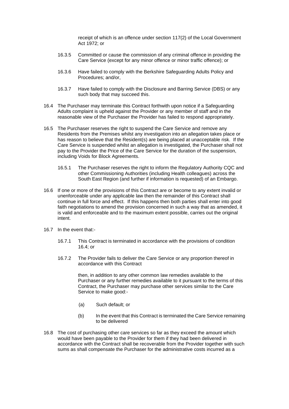receipt of which is an offence under section 117(2) of the Local Government Act 1972; or

- 16.3.5 Committed or cause the commission of any criminal offence in providing the Care Service (except for any minor offence or minor traffic offence); or
- 16.3.6 Have failed to comply with the Berkshire Safeguarding Adults Policy and Procedures; and/or,
- 16.3.7 Have failed to comply with the Disclosure and Barring Service (DBS) or any such body that may succeed this.
- 16.4 The Purchaser may terminate this Contract forthwith upon notice if a Safeguarding Adults complaint is upheld against the Provider or any member of staff and in the reasonable view of the Purchaser the Provider has failed to respond appropriately.
- 16.5 The Purchaser reserves the right to suspend the Care Service and remove any Residents from the Premises whilst any investigation into an allegation takes place or has reason to believe that the Resident(s) are being placed at unacceptable risk. If the Care Service is suspended whilst an allegation is investigated, the Purchaser shall not pay to the Provider the Price of the Care Service for the duration of the suspension, including Voids for Block Agreements.
	- 16.5.1 The Purchaser reserves the right to inform the Regulatory Authority CQC and other Commissioning Authorities (including Health colleagues) across the South East Region (and further if information is requested) of an Embargo.
- 16.6 If one or more of the provisions of this Contract are or become to any extent invalid or unenforceable under any applicable law then the remainder of this Contract shall continue in full force and effect. If this happens then both parties shall enter into good faith negotiations to amend the provision concerned in such a way that as amended, it is valid and enforceable and to the maximum extent possible, carries out the original intent.
- 16.7 In the event that:-
	- 16.7.1 This Contract is terminated in accordance with the provisions of condition 16.4; or
	- 16.7.2 The Provider fails to deliver the Care Service or any proportion thereof in accordance with this Contract

then, in addition to any other common law remedies available to the Purchaser or any further remedies available to it pursuant to the terms of this Contract, the Purchaser may purchase other services similar to the Care Service to make good:-

- (a) Such default; or
- (b) In the event that this Contract is terminated the Care Service remaining to be delivered
- 16.8 The cost of purchasing other care services so far as they exceed the amount which would have been payable to the Provider for them if they had been delivered in accordance with the Contract shall be recoverable from the Provider together with such sums as shall compensate the Purchaser for the administrative costs incurred as a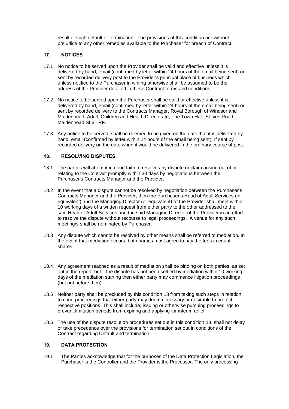result of such default or termination. The provisions of this condition are without prejudice to any other remedies available to the Purchaser for breach of Contract.

#### <span id="page-17-0"></span>**17. NOTICES**

- 17.1 No notice to be served upon the Provider shall be valid and effective unless it is delivered by hand, email (confirmed by letter within 24 hours of the email being sent) or sent by recorded delivery post to the Provider's principal place of business which unless notified to the Purchaser in writing otherwise shall be assumed to be the address of the Provider detailed in these Contract terms and conditions.
- 17.2 No notice to be served upon the Purchaser shall be valid or effective unless it is delivered by hand, email (confirmed by letter within 24 hours of the email being sent) or sent by recorded delivery to the Contracts Manager, Royal Borough of Windsor and Maidenhead, Adult, Children and Health Directorate, The Town Hall. St Ives Road. Maidenhead SL6 1RF.
- 17.3 Any notice to be served, shall be deemed to be given on the date that it is delivered by hand, email (confirmed by letter within 24 hours of the email being sent). If sent by recorded delivery on the date when it would be delivered in the ordinary course of post.

#### <span id="page-17-1"></span>**18. RESOLVING DISPUTES**

- 18.1 The parties will attempt in good faith to resolve any dispute or claim arising out of or relating to the Contract promptly within 30 days by negotiations between the Purchaser's Contracts Manager and the Provider.
- 18.2 In the event that a dispute cannot be resolved by negotiation between the Purchaser's Contracts Manager and the Provider, then the Purchaser's Head of Adult Services (or equivalent) and the Managing Director (or equivalent) of the Provider shall meet within 10 working days of a written request from either party to the other addressed to the said Head of Adult Services and the said Managing Director of the Provider in an effort to resolve the dispute without recourse to legal proceedings. A venue for any such meeting/s shall be nominated by Purchaser.
- 18.3 Any dispute which cannot be resolved by other means shall be referred to mediation. In the event that mediation occurs, both parties must agree to pay the fees in equal shares.
- 18.4 Any agreement reached as a result of mediation shall be binding on both parties, as set out in the report, but if the dispute has not been settled by mediation within 10 working days of the mediation starting then either party may commence litigation proceedings (but not before then).
- 18.5 Neither party shall be precluded by this condition 18 from taking such steps in relation to court proceedings that either party may deem necessary or desirable to protect respective positions. This shall include; issuing or otherwise pursuing proceedings to prevent limitation periods from expiring and applying for interim relief.
- 18.6 The use of the dispute resolution procedures set out in this condition 18, shall not delay or take precedence over the provisions for termination set out in conditions of the Contract regarding Default and termination.

#### <span id="page-17-2"></span>**19. DATA PROTECTION**

19.1 The Parties acknowledge that for the purposes of the Data Protection Legislation, the Purchaser is the Controller and the Provider is the Processor. The only processing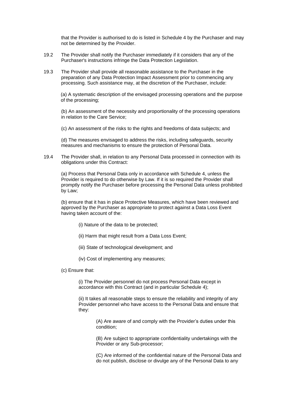that the Provider is authorised to do is listed in Schedule 4 by the Purchaser and may not be determined by the Provider.

- 19.2 The Provider shall notify the Purchaser immediately if it considers that any of the Purchaser's instructions infringe the Data Protection Legislation.
- 19.3 The Provider shall provide all reasonable assistance to the Purchaser in the preparation of any Data Protection Impact Assessment prior to commencing any processing. Such assistance may, at the discretion of the Purchaser, include:

(a) A systematic description of the envisaged processing operations and the purpose of the processing;

(b) An assessment of the necessity and proportionality of the processing operations in relation to the Care Service;

(c) An assessment of the risks to the rights and freedoms of data subjects; and

(d) The measures envisaged to address the risks, including safeguards, security measures and mechanisms to ensure the protection of Personal Data.

19.4 The Provider shall, in relation to any Personal Data processed in connection with its obligations under this Contract:

(a) Process that Personal Data only in accordance with Schedule 4, unless the Provider is required to do otherwise by Law. If it is so required the Provider shall promptly notify the Purchaser before processing the Personal Data unless prohibited by Law;

(b) ensure that it has in place Protective Measures, which have been reviewed and approved by the Purchaser as appropriate to protect against a Data Loss Event having taken account of the:

- (i) Nature of the data to be protected;
- (ii) Harm that might result from a Data Loss Event;
- (iii) State of technological development; and
- (iv) Cost of implementing any measures;
- (c) Ensure that:

(i) The Provider personnel do not process Personal Data except in accordance with this Contract (and in particular Schedule 4);

(ii) It takes all reasonable steps to ensure the reliability and integrity of any Provider personnel who have access to the Personal Data and ensure that they:

> (A) Are aware of and comply with the Provider's duties under this condition;

(B) Are subject to appropriate confidentiality undertakings with the Provider or any Sub-processor;

(C) Are informed of the confidential nature of the Personal Data and do not publish, disclose or divulge any of the Personal Data to any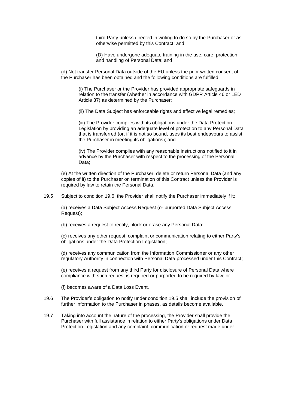third Party unless directed in writing to do so by the Purchaser or as otherwise permitted by this Contract; and

(D) Have undergone adequate training in the use, care, protection and handling of Personal Data; and

(d) Not transfer Personal Data outside of the EU unless the prior written consent of the Purchaser has been obtained and the following conditions are fulfilled:

(i) The Purchaser or the Provider has provided appropriate safeguards in relation to the transfer (whether in accordance with GDPR Article 46 or LED Article 37) as determined by the Purchaser;

(ii) The Data Subject has enforceable rights and effective legal remedies;

(iii) The Provider complies with its obligations under the Data Protection Legislation by providing an adequate level of protection to any Personal Data that is transferred (or, if it is not so bound, uses its best endeavours to assist the Purchaser in meeting its obligations); and

(iv) The Provider complies with any reasonable instructions notified to it in advance by the Purchaser with respect to the processing of the Personal Data;

(e) At the written direction of the Purchaser, delete or return Personal Data (and any copies of it) to the Purchaser on termination of this Contract unless the Provider is required by law to retain the Personal Data.

19.5 Subject to condition 19.6, the Provider shall notify the Purchaser immediately if it:

(a) receives a Data Subject Access Request (or purported Data Subject Access Request);

(b) receives a request to rectify, block or erase any Personal Data;

(c) receives any other request, complaint or communication relating to either Party's obligations under the Data Protection Legislation;

(d) receives any communication from the Information Commissioner or any other regulatory Authority in connection with Personal Data processed under this Contract;

(e) receives a request from any third Party for disclosure of Personal Data where compliance with such request is required or purported to be required by law; or

(f) becomes aware of a Data Loss Event.

- 19.6 The Provider's obligation to notify under condition 19.5 shall include the provision of further information to the Purchaser in phases, as details become available.
- 19.7 Taking into account the nature of the processing, the Provider shall provide the Purchaser with full assistance in relation to either Party's obligations under Data Protection Legislation and any complaint, communication or request made under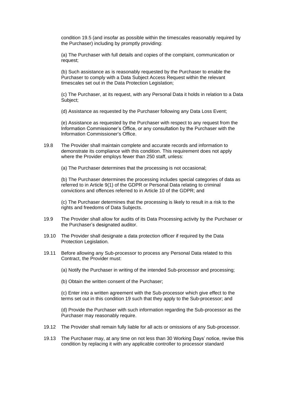condition 19.5 (and insofar as possible within the timescales reasonably required by the Purchaser) including by promptly providing:

(a) The Purchaser with full details and copies of the complaint, communication or request;

(b) Such assistance as is reasonably requested by the Purchaser to enable the Purchaser to comply with a Data Subject Access Request within the relevant timescales set out in the Data Protection Legislation;

(c) The Purchaser, at its request, with any Personal Data it holds in relation to a Data Subject;

(d) Assistance as requested by the Purchaser following any Data Loss Event;

(e) Assistance as requested by the Purchaser with respect to any request from the Information Commissioner's Office, or any consultation by the Purchaser with the Information Commissioner's Office.

19.8 The Provider shall maintain complete and accurate records and information to demonstrate its compliance with this condition. This requirement does not apply where the Provider employs fewer than 250 staff, unless:

(a) The Purchaser determines that the processing is not occasional;

(b) The Purchaser determines the processing includes special categories of data as referred to in Article 9(1) of the GDPR or Personal Data relating to criminal convictions and offences referred to in Article 10 of the GDPR; and

(c) The Purchaser determines that the processing is likely to result in a risk to the rights and freedoms of Data Subjects.

- 19.9 The Provider shall allow for audits of its Data Processing activity by the Purchaser or the Purchaser's designated auditor.
- 19.10 The Provider shall designate a data protection officer if required by the Data Protection Legislation.
- 19.11 Before allowing any Sub-processor to process any Personal Data related to this Contract, the Provider must:

(a) Notify the Purchaser in writing of the intended Sub-processor and processing;

(b) Obtain the written consent of the Purchaser;

(c) Enter into a written agreement with the Sub-processor which give effect to the terms set out in this condition 19 such that they apply to the Sub-processor; and

(d) Provide the Purchaser with such information regarding the Sub-processor as the Purchaser may reasonably require.

- 19.12 The Provider shall remain fully liable for all acts or omissions of any Sub-processor.
- 19.13 The Purchaser may, at any time on not less than 30 Working Days' notice, revise this condition by replacing it with any applicable controller to processor standard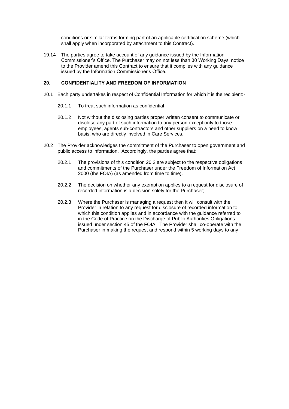conditions or similar terms forming part of an applicable certification scheme (which shall apply when incorporated by attachment to this Contract).

19.14 The parties agree to take account of any guidance issued by the Information Commissioner's Office. The Purchaser may on not less than 30 Working Days' notice to the Provider amend this Contract to ensure that it complies with any guidance issued by the Information Commissioner's Office.

#### <span id="page-21-0"></span>**20. CONFIDENTIALITY AND FREEDOM OF INFORMATION**

- 20.1 Each party undertakes in respect of Confidential Information for which it is the recipient:-
	- 20.1.1 To treat such information as confidential
	- 20.1.2 Not without the disclosing parties proper written consent to communicate or disclose any part of such information to any person except only to those employees, agents sub-contractors and other suppliers on a need to know basis, who are directly involved in Care Services.
- 20.2 The Provider acknowledges the commitment of the Purchaser to open government and public access to information. Accordingly, the parties agree that:
	- 20.2.1 The provisions of this condition 20.2 are subject to the respective obligations and commitments of the Purchaser under the Freedom of Information Act 2000 (the FOIA) (as amended from time to time).
	- 20.2.2 The decision on whether any exemption applies to a request for disclosure of recorded information is a decision solely for the Purchaser;
	- 20.2.3 Where the Purchaser is managing a request then it will consult with the Provider in relation to any request for disclosure of recorded information to which this condition applies and in accordance with the quidance referred to in the Code of Practice on the Discharge of Public Authorities Obligations issued under section 45 of the FOIA. The Provider shall co-operate with the Purchaser in making the request and respond within 5 working days to any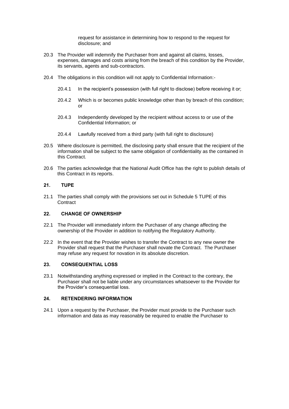request for assistance in determining how to respond to the request for disclosure; and

- 20.3 The Provider will indemnify the Purchaser from and against all claims, losses, expenses, damages and costs arising from the breach of this condition by the Provider, its servants, agents and sub-contractors.
- 20.4 The obligations in this condition will not apply to Confidential Information:-
	- 20.4.1 In the recipient's possession (with full right to disclose) before receiving it or;
	- 20.4.2 Which is or becomes public knowledge other than by breach of this condition; or
	- 20.4.3 Independently developed by the recipient without access to or use of the Confidential Information; or
	- 20.4.4 Lawfully received from a third party (with full right to disclosure)
- 20.5 Where disclosure is permitted, the disclosing party shall ensure that the recipient of the information shall be subject to the same obligation of confidentiality as the contained in this Contract.
- 20.6 The parties acknowledge that the National Audit Office has the right to publish details of this Contract in its reports.

#### <span id="page-22-0"></span>**21. TUPE**

21.1 The parties shall comply with the provisions set out in Schedule 5 TUPE of this **Contract** 

#### <span id="page-22-1"></span>**22. CHANGE OF OWNERSHIP**

- 22.1 The Provider will immediately inform the Purchaser of any change affecting the ownership of the Provider in addition to notifying the Regulatory Authority.
- 22.2 In the event that the Provider wishes to transfer the Contract to any new owner the Provider shall request that the Purchaser shall novate the Contract. The Purchaser may refuse any request for novation in its absolute discretion.

#### <span id="page-22-2"></span>**23. CONSEQUENTIAL LOSS**

23.1 Notwithstanding anything expressed or implied in the Contract to the contrary, the Purchaser shall not be liable under any circumstances whatsoever to the Provider for the Provider's consequential loss.

#### <span id="page-22-3"></span>**24. RETENDERING INFORMATION**

24.1 Upon a request by the Purchaser, the Provider must provide to the Purchaser such information and data as may reasonably be required to enable the Purchaser to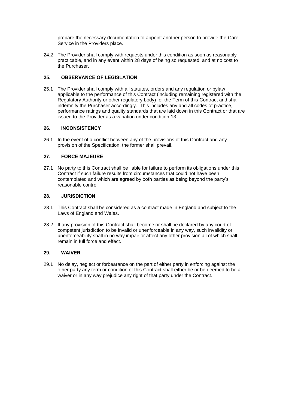prepare the necessary documentation to appoint another person to provide the Care Service in the Providers place.

24.2 The Provider shall comply with requests under this condition as soon as reasonably practicable, and in any event within 28 days of being so requested, and at no cost to the Purchaser.

#### <span id="page-23-0"></span>**25. OBSERVANCE OF LEGISLATION**

25.1 The Provider shall comply with all statutes, orders and any regulation or bylaw applicable to the performance of this Contract (including remaining registered with the Regulatory Authority or other regulatory body) for the Term of this Contract and shall indemnify the Purchaser accordingly. This includes any and all codes of practice, performance ratings and quality standards that are laid down in this Contract or that are issued to the Provider as a variation under condition 13.

#### <span id="page-23-1"></span>**26. INCONSISTENCY**

26.1 In the event of a conflict between any of the provisions of this Contract and any provision of the Specification, the former shall prevail.

#### <span id="page-23-2"></span>**27. FORCE MAJEURE**

27.1 No party to this Contract shall be liable for failure to perform its obligations under this Contract if such failure results from circumstances that could not have been contemplated and which are agreed by both parties as being beyond the party's reasonable control.

#### <span id="page-23-3"></span>**28. JURISDICTION**

- 28.1 This Contract shall be considered as a contract made in England and subject to the Laws of England and Wales.
- 28.2 If any provision of this Contract shall become or shall be declared by any court of competent jurisdiction to be invalid or unenforceable in any way, such invalidity or unenforceability shall in no way impair or affect any other provision all of which shall remain in full force and effect.

#### <span id="page-23-4"></span>**29. WAIVER**

<span id="page-23-5"></span>29.1 No delay, neglect or forbearance on the part of either party in enforcing against the other party any term or condition of this Contract shall either be or be deemed to be a waiver or in any way prejudice any right of that party under the Contract.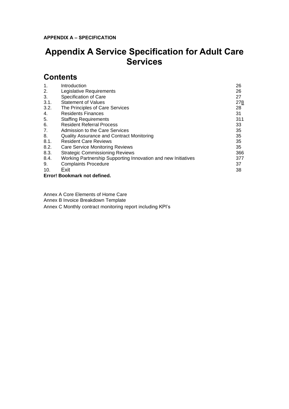# **Appendix A Service Specification for Adult Care Services**

### **Contents**

| 1.   | Introduction                                                  | 26  |
|------|---------------------------------------------------------------|-----|
| 2.   | Legislative Requirements                                      | 26  |
| 3.   | Specification of Care                                         | 27  |
| 3.1. | <b>Statement of Values</b>                                    | 278 |
| 3.2. | The Principles of Care Services                               | 28  |
| 4.   | <b>Residents Finances</b>                                     | 31  |
| 5.   | <b>Staffing Requirements</b>                                  | 311 |
| 6.   | <b>Resident Referral Process</b>                              | 33  |
| 7.   | <b>Admission to the Care Services</b>                         | 35  |
| 8.   | Quality Assurance and Contract Monitoring                     | 35  |
| 8.1. | <b>Resident Care Reviews</b>                                  | 35  |
| 8.2. | <b>Care Service Monitoring Reviews</b>                        | 35  |
| 8.3. | <b>Strategic Commissioning Reviews</b>                        | 366 |
| 8.4. | Working Partnership Supporting Innovation and new Initiatives | 377 |
| 9.   | <b>Complaints Procedure</b>                                   | 37  |
| 10.  | Exit                                                          | 38  |
|      | Error! Bookmark not defined.                                  |     |

Annex A Core Elements of Home Care

Annex B Invoice Breakdown Template

<span id="page-24-0"></span>Annex C Monthly contract monitoring report including KPI's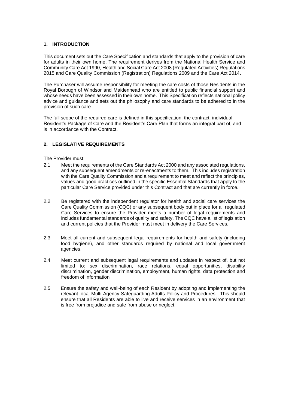#### **1. INTRODUCTION**

This document sets out the Care Specification and standards that apply to the provision of care for adults in their own home. The requirement derives from the National Health Service and Community Care Act 1990, Health and Social Care Act 2008 (Regulated Activities) Regulations 2015 and Care Quality Commission (Registration) Regulations 2009 and the Care Act 2014.

The Purchaser will assume responsibility for meeting the care costs of those Residents in the Royal Borough of Windsor and Maidenhead who are entitled to public financial support and whose needs have been assessed in their own home. This Specification reflects national policy advice and guidance and sets out the philosophy and care standards to be adhered to in the provision of such care.

The full scope of the required care is defined in this specification, the contract, individual Resident's Package of Care and the Resident's Care Plan that forms an integral part of, and is in accordance with the Contract.

#### <span id="page-25-0"></span>**2. LEGISLATIVE REQUIREMENTS**

The Provider must:

- 2.1 Meet the requirements of the Care Standards Act 2000 and any associated regulations, and any subsequent amendments or re-enactments to them. This includes registration with the Care Quality Commission and a requirement to meet and reflect the principles, values and good practices outlined in the specific Essential Standards that apply to the particular Care Service provided under this Contract and that are currently in force.
- 2.2 Be registered with the independent regulator for health and social care services the Care Quality Commission (CQC) or any subsequent body put in place for all regulated Care Services to ensure the Provider meets a number of legal requirements and includes [fundamental standards](https://www.cqc.org.uk/content/fundamental-standards) of quality and safety. The CQC have a list of legislation and current policies that the Provider must meet in delivery the Care Services.
- 2.3 Meet all current and subsequent legal requirements for health and safety (including food hygiene), and other standards required by national and local government agencies.
- 2.4 Meet current and subsequent legal requirements and updates in respect of, but not limited to: sex discrimination, race relations, equal opportunities, disability discrimination, gender discrimination, employment, human rights, data protection and freedom of information
- 2.5 Ensure the safety and well-being of each Resident by adopting and implementing the relevant local Multi-Agency Safeguarding Adults Policy and Procedures. This should ensure that all Residents are able to live and receive services in an environment that is free from prejudice and safe from abuse or neglect.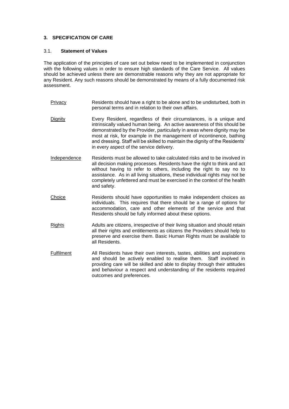#### <span id="page-26-0"></span>**3. SPECIFICATION OF CARE**

#### <span id="page-26-1"></span>3.1. **Statement of Values**

The application of the principles of care set out below need to be implemented in conjunction with the following values in order to ensure high standards of the Care Service. All values should be achieved unless there are demonstrable reasons why they are not appropriate for any Resident. Any such reasons should be demonstrated by means of a fully documented risk assessment.

- Privacy Residents should have a right to be alone and to be undisturbed, both in personal terms and in relation to their own affairs.
- Dignity Every Resident, regardless of their circumstances, is a unique and intrinsically valued human being. An active awareness of this should be demonstrated by the Provider, particularly in areas where dignity may be most at risk, for example in the management of incontinence, bathing and dressing. Staff will be skilled to maintain the dignity of the Residents' in every aspect of the service delivery.
- Independence Residents must be allowed to take calculated risks and to be involved in all decision making processes. Residents have the right to think and act without having to refer to others, including the right to say no to assistance. As in all living situations, these individual rights may not be completely unfettered and must be exercised in the context of the health and safety.
- Choice Residents should have opportunities to make independent choices as individuals. This requires that there should be a range of options for accommodation, care and other elements of the service and that Residents should be fully informed about these options.
- Rights Adults are citizens, irrespective of their living situation and should retain all their rights and entitlements as citizens the Providers should help to preserve and exercise them. Basic Human Rights must be available to all Residents.
- Fulfilment All Residents have their own interests, tastes, abilities and aspirations and should be actively enabled to realise them. Staff involved in providing care will be skilled and able to display through their attitudes and behaviour a respect and understanding of the residents required outcomes and preferences.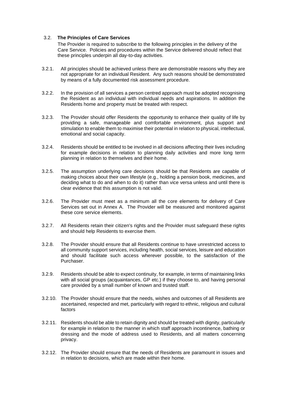#### <span id="page-27-0"></span>3.2. **The Principles of Care Services**

The Provider is required to subscribe to the following principles in the delivery of the Care Service. Policies and procedures within the Service delivered should reflect that these principles underpin all day-to-day activities.

- 3.2.1. All principles should be achieved unless there are demonstrable reasons why they are not appropriate for an individual Resident. Any such reasons should be demonstrated by means of a fully documented risk assessment procedure.
- 3.2.2. In the provision of all services a person centred approach must be adopted recognising the Resident as an individual with individual needs and aspirations. In addition the Residents home and property must be treated with respect.
- 3.2.3. The Provider should offer Residents the opportunity to enhance their quality of life by providing a safe, manageable and comfortable environment, plus support and stimulation to enable them to maximise their potential in relation to physical, intellectual, emotional and social capacity.
- 3.2.4. Residents should be entitled to be involved in all decisions affecting their lives including for example decisions in relation to planning daily activities and more long term planning in relation to themselves and their home.
- 3.2.5. The assumption underlying care decisions should be that Residents are capable of making choices about their own lifestyle (e.g., holding a pension book, medicines, and deciding what to do and when to do it) rather than vice versa unless and until there is clear evidence that this assumption is not valid.
- 3.2.6. The Provider must meet as a minimum all the core elements for delivery of Care Services set out in Annex A. The Provider will be measured and monitored against these core service elements.
- 3.2.7. All Residents retain their citizen's rights and the Provider must safeguard these rights and should help Residents to exercise them.
- 3.2.8. The Provider should ensure that all Residents continue to have unrestricted access to all community support services, including health, social services, leisure and education and should facilitate such access wherever possible, to the satisfaction of the Purchaser.
- 3.2.9. Residents should be able to expect continuity, for example, in terms of maintaining links with all social groups (acquaintances, GP etc.) if they choose to, and having personal care provided by a small number of known and trusted staff.
- 3.2.10. The Provider should ensure that the needs, wishes and outcomes of all Residents are ascertained, respected and met, particularly with regard to ethnic, religious and cultural factors
- 3.2.11. Residents should be able to retain dignity and should be treated with dignity, particularly for example in relation to the manner in which staff approach incontinence, bathing or dressing and the mode of address used to Residents, and all matters concerning privacy.
- 3.2.12. The Provider should ensure that the needs of Residents are paramount in issues and in relation to decisions, which are made within their home.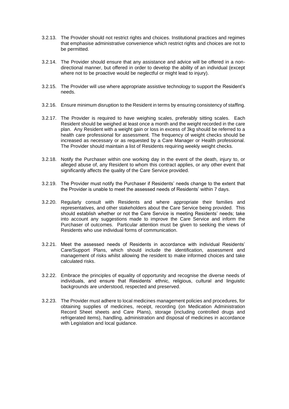- 3.2.13. The Provider should not restrict rights and choices. Institutional practices and regimes that emphasise administrative convenience which restrict rights and choices are not to be permitted.
- 3.2.14. The Provider should ensure that any assistance and advice will be offered in a nondirectional manner, but offered in order to develop the ability of an individual (except where not to be proactive would be neglectful or might lead to injury).
- 3.2.15. The Provider will use where appropriate assistive technology to support the Resident's needs.
- 3.2.16. Ensure minimum disruption to the Resident in terms by ensuring consistency of staffing.
- 3.2.17. The Provider is required to have weighing scales, preferably sitting scales. Each Resident should be weighed at least once a month and the weight recorded in the care plan. Any Resident with a weight gain or loss in excess of 3kg should be referred to a health care professional for assessment. The frequency of weight checks should be increased as necessary or as requested by a Care Manager or Health professional. The Provider should maintain a list of Residents requiring weekly weight checks.
- 3.2.18. Notify the Purchaser within one working day in the event of the death, injury to, or alleged abuse of, any Resident to whom this contract applies, or any other event that significantly affects the quality of the Care Service provided.
- 3.2.19. The Provider must notify the Purchaser if Residents' needs change to the extent that the Provider is unable to meet the assessed needs of Residents' within 7 days.
- 3.2.20. Regularly consult with Residents and where appropriate their families and representatives, and other stakeholders about the Care Service being provided. This should establish whether or not the Care Service is meeting Residents' needs; take into account any suggestions made to improve the Care Service and inform the Purchaser of outcomes. Particular attention must be given to seeking the views of Residents who use individual forms of communication.
- 3.2.21. Meet the assessed needs of Residents in accordance with individual Residents' Care/Support Plans, which should include the identification, assessment and management of risks whilst allowing the resident to make informed choices and take calculated risks.
- 3.2.22. Embrace the principles of equality of opportunity and recognise the diverse needs of individuals, and ensure that Residents' ethnic, religious, cultural and linguistic backgrounds are understood, respected and preserved.
- 3.2.23. The Provider must adhere to local medicines management policies and procedures, for obtaining supplies of medicines, receipt, recording (on Medication Administration Record Sheet sheets and Care Plans), storage (including controlled drugs and refrigerated items), handling, administration and disposal of medicines in accordance with Legislation and local guidance.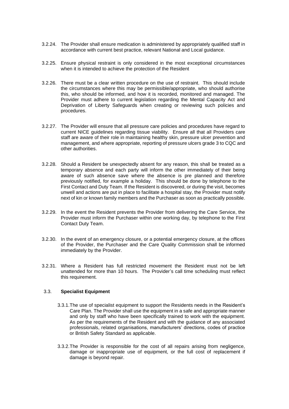- 3.2.24. The Provider shall ensure medication is administered by appropriately qualified staff in accordance with current best practice, relevant National and Local guidance.
- 3.2.25. Ensure physical restraint is only considered in the most exceptional circumstances when it is intended to achieve the protection of the Resident
- 3.2.26. There must be a clear written procedure on the use of restraint. This should include the circumstances where this may be permissible/appropriate, who should authorise this, who should be informed, and how it is recorded, monitored and managed. The Provider must adhere to current legislation regarding the Mental Capacity Act and Deprivation of Liberty Safeguards when creating or reviewing such policies and procedures.
- 3.2.27. The Provider will ensure that all pressure care policies and procedures have regard to current NICE guidelines regarding tissue viability. Ensure all that all Providers care staff are aware of their role in maintaining healthy skin, pressure ulcer prevention and management, and where appropriate, reporting of pressure ulcers grade 3 to CQC and other authorities.
- 3.2.28. Should a Resident be unexpectedly absent for any reason, this shall be treated as a temporary absence and each party will inform the other immediately of their being aware of such absence save where the absence is pre planned and therefore previously notified, for example a holiday. This should be done by telephone to the First Contact and Duty Team. If the Resident is discovered, or during the visit, becomes unwell and actions are put in place to facilitate a hospital stay, the Provider must notify next of kin or known family members and the Purchaser as soon as practically possible.
- 3.2.29. In the event the Resident prevents the Provider from delivering the Care Service, the Provider must inform the Purchaser within one working day, by telephone to the First Contact Duty Team.
- 3.2.30. In the event of an emergency closure, or a potential emergency closure, at the offices of the Provider, the Purchaser and the Care Quality Commission shall be informed immediately by the Provider.
- 3.2.31. Where a Resident has full restricted movement the Resident must not be left unattended for more than 10 hours. The Provider's call time scheduling must reflect this requirement.

#### 3.3. **Specialist Equipment**

- 3.3.1.The use of specialist equipment to support the Residents needs in the Resident's Care Plan. The Provider shall use the equipment in a safe and appropriate manner and only by staff who have been specifically trained to work with the equipment. As per the requirements of the Resident and with the guidance of any associated professionals, related organisations, manufacturers' directions, codes of practice or British Safety Standard as applicable.
- 3.3.2.The Provider is responsible for the cost of all repairs arising from negligence, damage or inappropriate use of equipment, or the full cost of replacement if damage is beyond repair.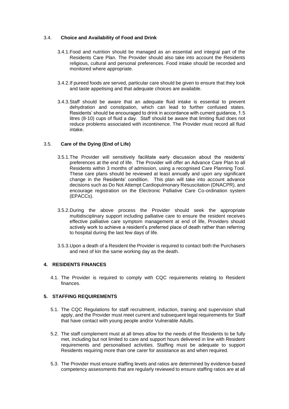#### 3.4. **Choice and Availability of Food and Drink**

- 3.4.1.Food and nutrition should be managed as an essential and integral part of the Residents Care Plan. The Provider should also take into account the Residents religious, cultural and personal preferences. Food intake should be recorded and monitored where appropriate.
- 3.4.2.If pureed foods are served, particular care should be given to ensure that they look and taste appetising and that adequate choices are available.
- 3.4.3.Staff should be aware that an adequate fluid intake is essential to prevent dehydration and constipation, which can lead to further confused states. Residents' should be encouraged to drink in accordance with current guidance, 1.5 litres (8-10) cups of fluid a day. Staff should be aware that limiting fluid does not reduce problems associated with incontinence. The Provider must record all fluid intake.

#### 3.5. **Care of the Dying (End of Life)**

- 3.5.1.The Provider will sensitively facilitate early discussion about the residents' preferences at the end of life. The Provider will offer an Advance Care Plan to all Residents within 3 months of admission, using a recognised Care Planning Tool. These care plans should be reviewed at least annually and upon any significant change in the Residents' condition. This plan will take into account advance decisions such as Do Not Attempt Cardiopulmonary Resuscitation (DNACPR), and encourage registration on the Electronic Palliative Care Co-ordination system (EPACCs).
- 3.5.2.During the above process the Provider should seek the appropriate multidisciplinary support including palliative care to ensure the resident receives effective palliative care symptom management at end of life, Providers should actively work to achieve a resident's preferred place of death rather than referring to hospital during the last few days of life.
- 3.5.3.Upon a death of a Resident the Provider is required to contact both the Purchasers and next of kin the same working day as the death.

#### <span id="page-30-0"></span>**4. RESIDENTS FINANCES**

4.1. The Provider is required to comply with CQC requirements relating to Resident finances.

#### <span id="page-30-1"></span>**5. STAFFING REQUIREMENTS**

- 5.1. The CQC Regulations for staff recruitment, induction, training and supervision shall apply, and the Provider must meet current and subsequent legal requirements for Staff that have contact with young people and/or Vulnerable Adults.
- 5.2. The staff complement must at all times allow for the needs of the Residents to be fully met, including but not limited to care and support hours delivered in line with Resident requirements and personalised activities. Staffing must be adequate to support Residents requiring more than one carer for assistance as and when required.
- 5.3. The Provider must ensure staffing levels and ratios are determined by evidence-based competency assessments that are regularly reviewed to ensure staffing ratios are at all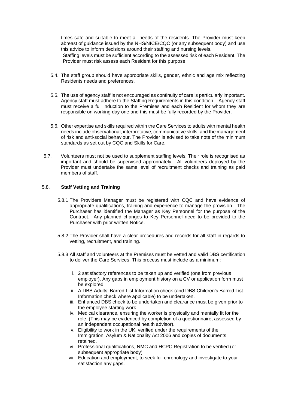times safe and suitable to meet all needs of the residents. The Provider must keep abreast of guidance issued by the NHS/NICE/CQC (or any subsequent body) and use this advice to inform decisions around their staffing and nursing levels.

Staffing levels must be sufficient according to the assessed risk of each Resident. The Provider must risk assess each Resident for this purpose

- 5.4. The staff group should have appropriate skills, gender, ethnic and age mix reflecting Residents needs and preferences.
- 5.5. The use of agency staff is not encouraged as continuity of care is particularly important. Agency staff must adhere to the Staffing Requirements in this condition. Agency staff must receive a full induction to the Premises and each Resident for whom they are responsible on working day one and this must be fully recorded by the Provider.
- 5.6. Other expertise and skills required within the Care Services to adults with mental health needs include observational, interpretative, communicative skills, and the management of risk and anti-social behaviour. The Provider is advised to take note of the minimum standards as set out by CQC and Skills for Care.
- 5.7. Volunteers must not be used to supplement staffing levels. Their role is recognised as important and should be supervised appropriately. All volunteers deployed by the Provider must undertake the same level of recruitment checks and training as paid members of staff.

#### 5.8. **Staff Vetting and Training**

- 5.8.1.The Providers Manager must be registered with CQC and have evidence of appropriate qualifications, training and experience to manage the provision. The Purchaser has identified the Manager as Key Personnel for the purpose of the Contract. Any planned changes to Key Personnel need to be provided to the Purchaser with prior written Notice.
- 5.8.2.The Provider shall have a clear procedures and records for all staff in regards to vetting, recruitment, and training.
- 5.8.3.All staff and volunteers at the Premises must be vetted and valid DBS certification to deliver the Care Services. This process must include as a minimum:
	- i. 2 satisfactory references to be taken up and verified (one from previous employer). Any gaps in employment history on a CV or application form must be explored.
	- ii. A DBS Adults' Barred List Information check (and DBS Children's Barred List Information check where applicable) to be undertaken.
	- iii. Enhanced DBS check to be undertaken and clearance must be given prior to the employee starting work.
	- iv. Medical clearance, ensuring the worker is physically and mentally fit for the role. (This may be evidenced by completion of a questionnaire, assessed by an independent occupational health advisor).
	- v. Eligibility to work in the UK, verified under the requirements of the Immigration, Asylum & Nationality Act 2006 and copies of documents retained.
	- vi. Professional qualifications, NMC and HCPC Registration to be verified (or subsequent appropriate body)
	- vii. Education and employment, to seek full chronology and investigate to your satisfaction any gaps.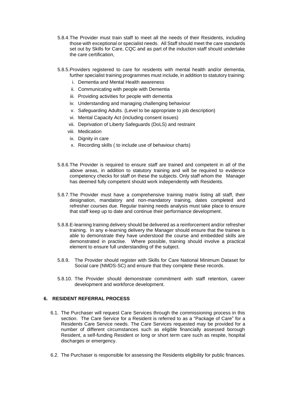- 5.8.4.The Provider must train staff to meet all the needs of their Residents, including those with exceptional or specialist needs. All Staff should meet the care standards set out by Skills for Care, CQC and as part of the induction staff should undertake the care certification,
- 5.8.5.Providers registered to care for residents with mental health and/or dementia, further specialist training programmes must include, in addition to statutory training:
	- i. Dementia and Mental Health awareness
	- ii. Communicating with people with Dementia
	- iii. Providing activities for people with dementia
	- iv. Understanding and managing challenging behaviour
	- v. Safeguarding Adults. (Level to be appropriate to job description)
	- vi. Mental Capacity Act (including consent issues)
	- vii. Deprivation of Liberty Safeguards (DoLS) and restraint
	- viii. Medication
	- ix. Dignity in care
	- x. Recording skills ( to include use of behaviour charts)
- 5.8.6.The Provider is required to ensure staff are trained and competent in all of the above areas, in addition to statutory training and will be required to evidence competency checks for staff on these the subjects. Only staff whom the Manager has deemed fully competent should work independently with Residents.
- 5.8.7.The Provider must have a comprehensive training matrix listing all staff, their designation, mandatory and non-mandatory training, dates completed and refresher courses due. Regular training needs analysis must take place to ensure that staff keep up to date and continue their performance development.
- 5.8.8.E-learning training delivery should be delivered as a reinforcement and/or refresher training. In any e-learning delivery the Manager should ensure that the trainee is able to demonstrate they have understood the course and embedded skills are demonstrated in practise. Where possible, training should involve a practical element to ensure full understanding of the subject.
- 5.8.9. The Provider should register with Skills for Care National Minimum Dataset for Social care (NMDS-SC) and ensure that they complete these records.
- 5.8.10. The Provider should demonstrate commitment with staff retention, career development and workforce development.

#### <span id="page-32-0"></span>**6. RESIDENT REFERRAL PROCESS**

- 6.1. The Purchaser will request Care Services through the commissioning process in this section. The Care Service for a Resident is referred to as a "Package of Care" for a Residents Care Service needs. The Care Services requested may be provided for a number of different circumstances such as eligible financially assessed borough Resident, a self-funding Resident or long or short term care such as respite, hospital discharges or emergency.
- 6.2. The Purchaser is responsible for assessing the Residents eligibility for public finances.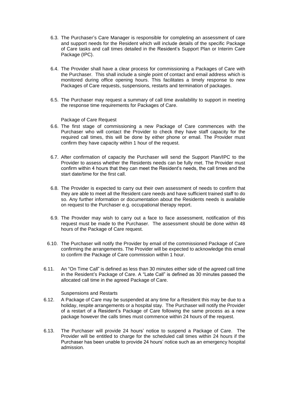- 6.3. The Purchaser's Care Manager is responsible for completing an assessment of care and support needs for the Resident which will include details of the specific Package of Care tasks and call times detailed in the Resident's Support Plan or Interim Care Package (IPC).
- 6.4. The Provider shall have a clear process for commissioning a Packages of Care with the Purchaser. This shall include a single point of contact and email address which is monitored during office opening hours. This facilitates a timely response to new Packages of Care requests, suspensions, restarts and termination of packages.
- 6.5. The Purchaser may request a summary of call time availability to support in meeting the response time requirements for Packages of Care.

#### Package of Care Request

- 6.6. The first stage of commissioning a new Package of Care commences with the Purchaser who will contact the Provider to check they have staff capacity for the required call times, this will be done by either phone or email. The Provider must confirm they have capacity within 1 hour of the request.
- 6.7. After confirmation of capacity the Purchaser will send the Support Plan/IPC to the Provider to assess whether the Residents needs can be fully met. The Provider must confirm within 4 hours that they can meet the Resident's needs, the call times and the start date/time for the first call.
- 6.8. The Provider is expected to carry out their own assessment of needs to confirm that they are able to meet all the Resident care needs and have sufficient trained staff to do so. Any further information or documentation about the Residents needs is available on request to the Purchaser e.g. occupational therapy report.
- 6.9. The Provider may wish to carry out a face to face assessment, notification of this request must be made to the Purchaser. The assessment should be done within 48 hours of the Package of Care request.
- 6.10. The Purchaser will notify the Provider by email of the commissioned Package of Care confirming the arrangements. The Provider will be expected to acknowledge this email to confirm the Package of Care commission within 1 hour.
- 6.11. An "On Time Call" is defined as less than 30 minutes either side of the agreed call time in the Resident's Package of Care. A "Late Call" is defined as 30 minutes passed the allocated call time in the agreed Package of Care.

#### Suspensions and Restarts

- 6.12. A Package of Care may be suspended at any time for a Resident this may be due to a holiday, respite arrangements or a hospital stay. The Purchaser will notify the Provider of a restart of a Resident's Package of Care following the same process as a new package however the calls times must commence within 24 hours of the request.
- 6.13. The Purchaser will provide 24 hours' notice to suspend a Package of Care. The Provider will be entitled to charge for the scheduled call times within 24 hours if the Purchaser has been unable to provide 24 hours' notice such as an emergency hospital admission.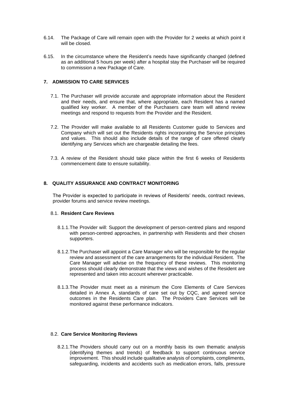- 6.14. The Package of Care will remain open with the Provider for 2 weeks at which point it will be closed.
- 6.15. In the circumstance where the Resident's needs have significantly changed (defined as an additional 5 hours per week) after a hospital stay the Purchaser will be required to commission a new Package of Care.

#### <span id="page-34-0"></span>**7. ADMISSION TO CARE SERVICES**

- 7.1. The Purchaser will provide accurate and appropriate information about the Resident and their needs, and ensure that, where appropriate, each Resident has a named qualified key worker. A member of the Purchasers care team will attend review meetings and respond to requests from the Provider and the Resident.
- 7.2. The Provider will make available to all Residents Customer guide to Services and Company which will set out the Residents rights incorporating the Service principles and values. This should also include details of the range of care offered clearly identifying any Services which are chargeable detailing the fees.
- 7.3. A review of the Resident should take place within the first 6 weeks of Residents commencement date to ensure suitability.

#### <span id="page-34-1"></span>**8. QUALITY ASSURANCE AND CONTRACT MONITORING**

The Provider is expected to participate in reviews of Residents' needs, contract reviews, provider forums and service review meetings.

#### <span id="page-34-2"></span>8.1. **Resident Care Reviews**

- 8.1.1.The Provider will: Support the development of person-centred plans and respond with person-centred approaches, in partnership with Residents and their chosen supporters.
- 8.1.2.The Purchaser will appoint a Care Manager who will be responsible for the regular review and assessment of the care arrangements for the individual Resident. The Care Manager will advise on the frequency of these reviews. This monitoring process should clearly demonstrate that the views and wishes of the Resident are represented and taken into account wherever practicable.
- 8.1.3.The Provider must meet as a minimum the Core Elements of Care Services detailed in Annex A, standards of care set out by CQC, and agreed service outcomes in the Residents Care plan. The Providers Care Services will be monitored against these performance indicators.

#### <span id="page-34-3"></span>8.2. **Care Service Monitoring Reviews**

8.2.1.The Providers should carry out on a monthly basis its own thematic analysis (identifying themes and trends) of feedback to support continuous service improvement. This should include qualitative analysis of complaints, compliments, safeguarding, incidents and accidents such as medication errors, falls, pressure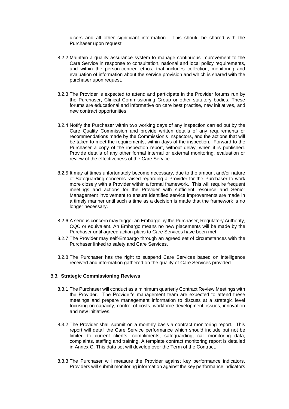ulcers and all other significant information. This should be shared with the Purchaser upon request.

- 8.2.2.Maintain a quality assurance system to manage continuous improvement to the Care Service in response to consultation, national and local policy requirements, and within the person-centred ethos, that includes collection, monitoring and evaluation of information about the service provision and which is shared with the purchaser upon request.
- 8.2.3.The Provider is expected to attend and participate in the Provider forums run by the Purchaser, Clinical Commissioning Group or other statutory bodies. These forums are educational and informative on care best practise, new initiatives, and new contract opportunities.
- 8.2.4.Notify the Purchaser within two working days of any inspection carried out by the Care Quality Commission and provide written details of any requirements or recommendations made by the Commission's Inspectors, and the actions that will be taken to meet the requirements, within days of the inspection. Forward to the Purchaser a copy of the inspection report, without delay, when it is published. Provide details of any other formal internal or external monitoring, evaluation or review of the effectiveness of the Care Service.
- 8.2.5.It may at times unfortunately become necessary, due to the amount and/or nature of Safeguarding concerns raised regarding a Provider for the Purchaser to work more closely with a Provider within a formal framework. This will require frequent meetings and actions for the Provider with sufficient resource and Senior Management involvement to ensure identified service improvements are made in a timely manner until such a time as a decision is made that the framework is no longer necessary.
- 8.2.6.A serious concern may trigger an Embargo by the Purchaser, Regulatory Authority, CQC or equivalent. An Embargo means no new placements will be made by the Purchaser until agreed action plans to Care Services have been met.
- 8.2.7.The Provider may self-Embargo through an agreed set of circumstances with the Purchaser linked to safety and Care Services.
- 8.2.8.The Purchaser has the right to suspend Care Services based on intelligence received and information gathered on the quality of Care Services provided.

#### <span id="page-35-0"></span>8.3. **Strategic Commissioning Reviews**

- 8.3.1.The Purchaser will conduct as a minimum quarterly Contract Review Meetings with the Provider. The Provider's management team are expected to attend these meetings and prepare management information to discuss at a strategic level focusing on capacity, control of costs, workforce development, issues, innovation and new initiatives.
- 8.3.2.The Provider shall submit on a monthly basis a contract monitoring report. This report will detail the Care Service performance which should include but not be limited to current clients, compliments, safeguarding, call monitoring data, complaints, staffing and training. A template contract monitoring report is detailed in Annex C. This data set will develop over the Term of the Contract.
- 8.3.3.The Purchaser will measure the Provider against key performance indicators. Providers will submit monitoring information against the key performance indicators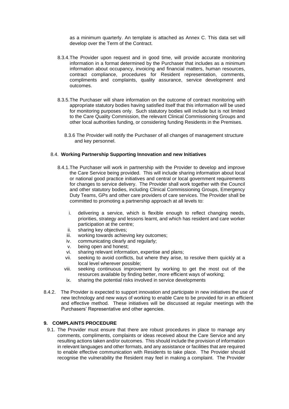as a minimum quarterly. An template is attached as Annex C. This data set will develop over the Term of the Contract.

- 8.3.4.The Provider upon request and in good time, will provide accurate monitoring information in a format determined by the Purchaser that includes as a minimum information about occupancy, invoicing and financial matters, human resources, contract compliance, procedures for Resident representation, comments, compliments and complaints, quality assurance, service development and outcomes.
- 8.3.5.The Purchaser will share information on the outcome of contract monitoring with appropriate statutory bodies having satisfied itself that this information will be used for monitoring purposes only. Such statutory bodies will include but is not limited to the Care Quality Commission, the relevant Clinical Commissioning Groups and other local authorities funding, or considering funding Residents in the Premises.
	- 8.3.6 The Provider will notify the Purchaser of all changes of management structure and key personnel.

#### <span id="page-36-0"></span>8.4. **Working Partnership Supporting Innovation and new Initiatives**

- 8.4.1.The Purchaser will work in partnership with the Provider to develop and improve the Care Service being provided. This will include sharing information about local or national good practice initiatives and central or local government requirements for changes to service delivery. The Provider shall work together with the Council and other statutory bodies, including Clinical Commissioning Groups, Emergency Duty Teams, GPs and other care providers of care services. The Provider shall be committed to promoting a partnership approach at all levels to:
	- i. delivering a service, which is flexible enough to reflect changing needs, priorities, strategy and lessons learnt, and which has resident and care worker participation at the centre;
	- ii. sharing key objectives;
	- iii. working towards achieving key outcomes;
	- iv. communicating clearly and regularly;
	- v. being open and honest;
	- vi. sharing relevant information, expertise and plans;
	- vii. seeking to avoid conflicts, but where they arise, to resolve them quickly at a local level wherever possible;
	- viii. seeking continuous improvement by working to get the most out of the resources available by finding better, more efficient ways of working;
	- ix. sharing the potential risks involved in service developments
- 8.4.2. The Provider is expected to support innovation and participate in new initiatives the use of new technology and new ways of working to enable Care to be provided for in an efficient and effective method. These initiatives will be discussed at regular meetings with the Purchasers' Representative and other agencies.

#### <span id="page-36-1"></span>**9. COMPLAINTS PROCEDURE**

9.1. The Provider must ensure that there are robust procedures in place to manage any comments, compliments, complaints or ideas received about the Care Service and any resulting actions taken and/or outcomes. This should include the provision of information in relevant languages and other formats, and any assistance or facilities that are required to enable effective communication with Residents to take place. The Provider should recognise the vulnerability the Resident may feel in making a complaint. The Provider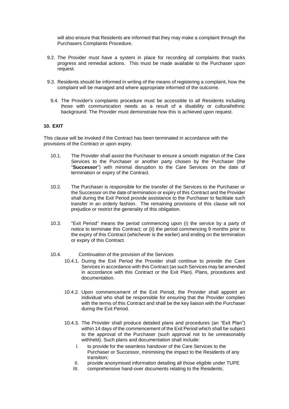will also ensure that Residents are informed that they may make a complaint through the Purchasers Complaints Procedure.

- 9.2. The Provider must have a system in place for recording all complaints that tracks progress and remedial actions. This must be made available to the Purchaser upon request.
- 9.3. Residents should be informed in writing of the means of registering a complaint, how the complaint will be managed and where appropriate informed of the outcome.
	- 9.4. The Provider's complaints procedure must be accessible to all Residents including those with communication needs as a result of a disability or cultural/ethnic background. The Provider must demonstrate how this is achieved upon request.

#### **10. EXIT**

This clause will be invoked if the Contract has been terminated in accordance with the provisions of the Contract or upon expiry.

- 10.1. The Provider shall assist the Purchaser to ensure a smooth migration of the Care Services to the Purchaser or another party chosen by the Purchaser (the "**Successor**") with minimal disruption to the Care Services on the date of termination or expiry of the Contract.
- 10.2. The Purchaser is responsible for the transfer of the Services to the Purchaser or the Successor on the date of termination or expiry of this Contract and the Provider shall during the Exit Period provide assistance to the Purchaser to facilitate such transfer in an orderly fashion. The remaining provisions of this clause will not prejudice or restrict the generality of this obligation.
- 10.3. "Exit Period" means the period commencing upon (i) the service by a party of notice to terminate this Contract; or (ii) the period commencing 9 months prior to the expiry of this Contract (whichever is the earlier) and ending on the termination or expiry of this Contract.
- 10.4. Continuation of the provision of the Services
	- 10.4.1. During the Exit Period the Provider shall continue to provide the Care Services in accordance with this Contract (as such Services may be amended in accordance with this Contract or the Exit Plan). Plans, procedures and documentation.
	- 10.4.2. Upon commencement of the Exit Period, the Provider shall appoint an individual who shall be responsible for ensuring that the Provider complies with the terms of this Contract and shall be the key liaison with the Purchaser during the Exit Period.
	- 10.4.3. The Provider shall produce detailed plans and procedures (an "Exit Plan") within 14 days of the commencement of the Exit Period which shall be subject to the approval of the Purchaser (such approval not to be unreasonably withheld). Such plans and documentation shall include:
		- I. to provide for the seamless handover of the Care Services to the Purchaser or Successor, minimising the impact to the Residents of any transition;
		- II. provide anonymised information detailing all those eligible under TUPE
		- III. comprehensive hand-over documents relating to the Residents;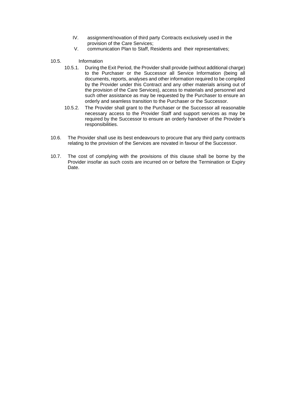- IV. assignment/novation of third party Contracts exclusively used in the provision of the Care Services;
- V. communication Plan to Staff, Residents and their representatives;
- 10.5. Information
	- 10.5.1. During the Exit Period, the Provider shall provide (without additional charge) to the Purchaser or the Successor all Service Information (being all documents, reports, analyses and other information required to be compiled by the Provider under this Contract and any other materials arising out of the provision of the Care Services), access to materials and personnel and such other assistance as may be requested by the Purchaser to ensure an orderly and seamless transition to the Purchaser or the Successor.
	- 10.5.2. The Provider shall grant to the Purchaser or the Successor all reasonable necessary access to the Provider Staff and support services as may be required by the Successor to ensure an orderly handover of the Provider's responsibilities.
- 10.6. The Provider shall use its best endeavours to procure that any third party contracts relating to the provision of the Services are novated in favour of the Successor.
- 10.7. The cost of complying with the provisions of this clause shall be borne by the Provider insofar as such costs are incurred on or before the Termination or Expiry Date.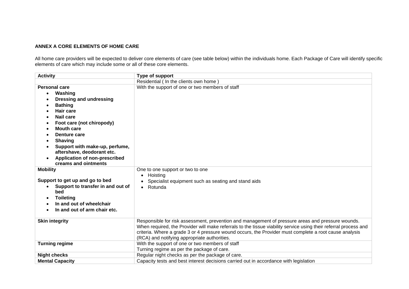#### **ANNEX A CORE ELEMENTS OF HOME CARE**

All home care providers will be expected to deliver core elements of care (see table below) within the individuals home. Each Package of Care will identify specific elements of care which may include some or all of these core elements.

| <b>Activity</b>                   | Type of support                                                                                                                                                                                                                                                                                                                                                                 |
|-----------------------------------|---------------------------------------------------------------------------------------------------------------------------------------------------------------------------------------------------------------------------------------------------------------------------------------------------------------------------------------------------------------------------------|
|                                   | Residential ( In the clients own home )                                                                                                                                                                                                                                                                                                                                         |
| <b>Personal care</b>              | With the support of one or two members of staff                                                                                                                                                                                                                                                                                                                                 |
| Washing<br>$\bullet$              |                                                                                                                                                                                                                                                                                                                                                                                 |
| <b>Dressing and undressing</b>    |                                                                                                                                                                                                                                                                                                                                                                                 |
| <b>Bathing</b>                    |                                                                                                                                                                                                                                                                                                                                                                                 |
| Hair care                         |                                                                                                                                                                                                                                                                                                                                                                                 |
| <b>Nail care</b>                  |                                                                                                                                                                                                                                                                                                                                                                                 |
| Foot care (not chiropody)         |                                                                                                                                                                                                                                                                                                                                                                                 |
| <b>Mouth care</b>                 |                                                                                                                                                                                                                                                                                                                                                                                 |
| Denture care                      |                                                                                                                                                                                                                                                                                                                                                                                 |
| <b>Shaving</b>                    |                                                                                                                                                                                                                                                                                                                                                                                 |
| Support with make-up, perfume,    |                                                                                                                                                                                                                                                                                                                                                                                 |
| aftershave, deodorant etc.        |                                                                                                                                                                                                                                                                                                                                                                                 |
| Application of non-prescribed     |                                                                                                                                                                                                                                                                                                                                                                                 |
| creams and ointments              |                                                                                                                                                                                                                                                                                                                                                                                 |
| <b>Mobility</b>                   | One to one support or two to one                                                                                                                                                                                                                                                                                                                                                |
|                                   | Hoisting                                                                                                                                                                                                                                                                                                                                                                        |
| Support to get up and go to bed   | Specialist equipment such as seating and stand aids                                                                                                                                                                                                                                                                                                                             |
| Support to transfer in and out of | Rotunda                                                                                                                                                                                                                                                                                                                                                                         |
| bed                               |                                                                                                                                                                                                                                                                                                                                                                                 |
| <b>Toileting</b>                  |                                                                                                                                                                                                                                                                                                                                                                                 |
| In and out of wheelchair          |                                                                                                                                                                                                                                                                                                                                                                                 |
| In and out of arm chair etc.      |                                                                                                                                                                                                                                                                                                                                                                                 |
|                                   |                                                                                                                                                                                                                                                                                                                                                                                 |
| <b>Skin integrity</b>             | Responsible for risk assessment, prevention and management of pressure areas and pressure wounds.<br>When required, the Provider will make referrals to the tissue viability service using their referral process and<br>criteria. Where a grade 3 or 4 pressure wound occurs, the Provider must complete a root cause analysis<br>(RCA) and notifying appropriate authorities. |
| <b>Turning regime</b>             | With the support of one or two members of staff                                                                                                                                                                                                                                                                                                                                 |
|                                   | Turning regime as per the package of care.                                                                                                                                                                                                                                                                                                                                      |
| <b>Night checks</b>               | Regular night checks as per the package of care.                                                                                                                                                                                                                                                                                                                                |
| <b>Mental Capacity</b>            | Capacity tests and best interest decisions carried out in accordance with legislation                                                                                                                                                                                                                                                                                           |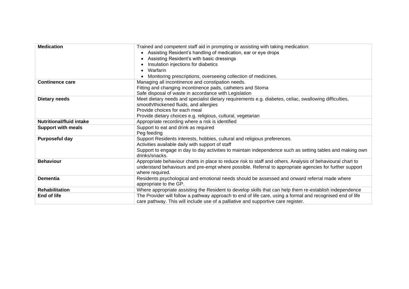| <b>Medication</b>               | Trained and competent staff aid in prompting or assisting with taking medication:                                           |
|---------------------------------|-----------------------------------------------------------------------------------------------------------------------------|
|                                 | Assisting Resident's handling of medication, ear or eye drops                                                               |
|                                 | Assisting Resident's with basic dressings                                                                                   |
|                                 | Insulation injections for diabetics                                                                                         |
|                                 | Warfarin                                                                                                                    |
|                                 | Monitoring prescriptions, overseeing collection of medicines.                                                               |
| <b>Continence care</b>          | Managing all incontinence and constipation needs.                                                                           |
|                                 | Fitting and changing incontinence pads, catheters and Stoma                                                                 |
|                                 | Safe disposal of waste in accordance with Legislation                                                                       |
| <b>Dietary needs</b>            | Meet dietary needs and specialist dietary requirements e.g. diabetes, celiac, swallowing difficulties,                      |
|                                 | smooth/thickened fluids, and allergies                                                                                      |
|                                 | Provide choices for each meal                                                                                               |
|                                 | Provide dietary choices e.g. religious, cultural, vegetarian                                                                |
| <b>Nutritional/fluid intake</b> | Appropriate recording where a risk is identified                                                                            |
| <b>Support with meals</b>       | Support to eat and drink as required                                                                                        |
|                                 | Peg feeding                                                                                                                 |
| Purposeful day                  | Support Residents interests, hobbies, cultural and religious preferences.                                                   |
|                                 | Activities available daily with support of staff                                                                            |
|                                 | Support to engage in day to day activities to maintain independence such as setting tables and making own<br>drinks/snacks. |
| <b>Behaviour</b>                | Appropriate behaviour charts in place to reduce risk to staff and others. Analysis of behavioural chart to                  |
|                                 | understand behaviours and pre-empt where possible. Referral to appropriate agencies for further support                     |
|                                 | where required.                                                                                                             |
| <b>Dementia</b>                 | Residents psychological and emotional needs should be assessed and onward referral made where                               |
|                                 | appropriate to the GP.                                                                                                      |
| <b>Rehabilitation</b>           | Where appropriate assisting the Resident to develop skills that can help them re-establish independence                     |
| End of life                     | The Provider will follow a pathway approach to end of life care, using a formal and recognised end of life                  |
|                                 | care pathway. This will include use of a palliative and supportive care register.                                           |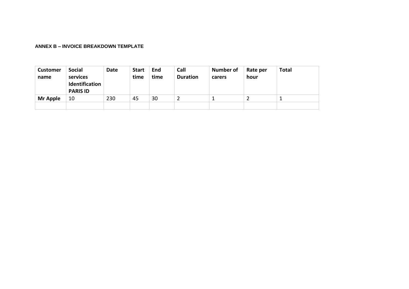#### **ANNEX B – INVOICE BREAKDOWN TEMPLATE**

| <b>Customer</b><br>name | <b>Social</b><br>services<br>Identification<br><b>PARIS ID</b> | Date | <b>Start</b><br>time | End<br>time | Call<br><b>Duration</b> | <b>Number of</b><br>carers | Rate per<br>hour | <b>Total</b> |
|-------------------------|----------------------------------------------------------------|------|----------------------|-------------|-------------------------|----------------------------|------------------|--------------|
| Mr Apple                | 10                                                             | 230  | 45                   | 30          |                         |                            |                  |              |
|                         |                                                                |      |                      |             |                         |                            |                  |              |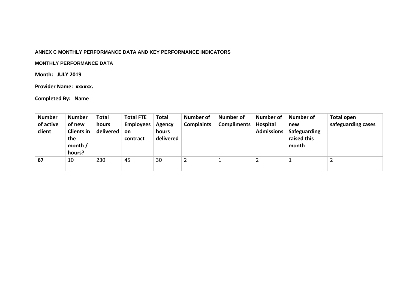#### **ANNEX C MONTHLY PERFORMANCE DATA AND KEY PERFORMANCE INDICATORS**

#### **MONTHLY PERFORMANCE DATA**

#### **Month: JULY 2019**

#### **Provider Name: xxxxxx.**

### **Completed By: Name**

| <b>Number</b><br>of active<br>client | <b>Number</b><br>of new<br><b>Clients in</b><br>the<br>month $/$<br>hours? | <b>Total</b><br>hours<br>delivered | <b>Total FTE</b><br><b>Employees</b><br>on<br>contract | <b>Total</b><br><b>Agency</b><br>hours<br>delivered | <b>Number of</b><br><b>Complaints</b> | <b>Number of</b><br><b>Compliments</b> | <b>Number of</b><br><b>Hospital</b><br><b>Admissions</b> | Number of<br>new<br>Safeguarding<br>raised this<br>month | <b>Total open</b><br>safeguarding cases |
|--------------------------------------|----------------------------------------------------------------------------|------------------------------------|--------------------------------------------------------|-----------------------------------------------------|---------------------------------------|----------------------------------------|----------------------------------------------------------|----------------------------------------------------------|-----------------------------------------|
| 67                                   | 10                                                                         | 230                                | 45                                                     | 30                                                  | 2                                     |                                        |                                                          |                                                          |                                         |
|                                      |                                                                            |                                    |                                                        |                                                     |                                       |                                        |                                                          |                                                          |                                         |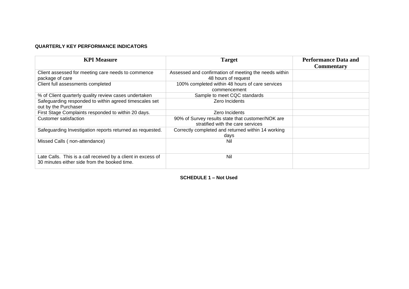#### **QUARTERLY KEY PERFORMANCE INDICATORS**

| <b>KPI Measure</b>                                                                                           | <b>Target</b>                                                                          | <b>Performance Data and</b><br><b>Commentary</b> |
|--------------------------------------------------------------------------------------------------------------|----------------------------------------------------------------------------------------|--------------------------------------------------|
| Client assessed for meeting care needs to commence<br>package of care                                        | Assessed and confirmation of meeting the needs within<br>48 hours of request           |                                                  |
| Client full assessments completed                                                                            | 100% completed within 48 hours of care services<br>commencement                        |                                                  |
| % of Client quarterly quality review cases undertaken                                                        | Sample to meet CQC standards                                                           |                                                  |
| Safeguarding responded to within agreed timescales set<br>out by the Purchaser                               | Zero Incidents                                                                         |                                                  |
| First Stage Complaints responded to within 20 days.                                                          | Zero Incidents                                                                         |                                                  |
| Customer satisfaction                                                                                        | 90% of Survey results state that customer/NOK are<br>stratified with the care services |                                                  |
| Safeguarding Investigation reports returned as requested.                                                    | Correctly completed and returned within 14 working<br>days                             |                                                  |
| Missed Calls (non-attendance)                                                                                | Nil                                                                                    |                                                  |
| Late Calls. This is a call received by a client in excess of<br>30 minutes either side from the booked time. | Nil                                                                                    |                                                  |

<span id="page-43-0"></span>**SCHEDULE 1 – Not Used**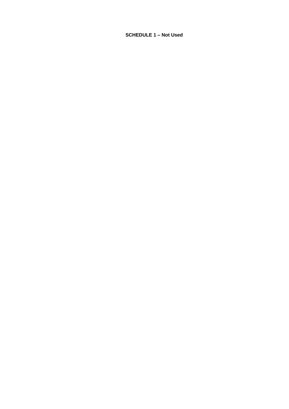**SCHEDULE 1 – Not Used**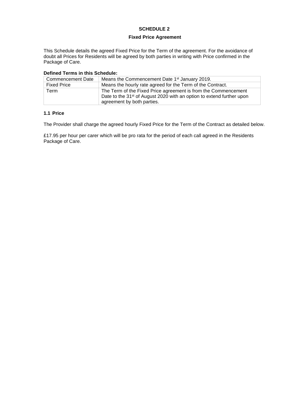#### **SCHEDULE 2**

#### <span id="page-45-1"></span>**Fixed Price Agreement**

<span id="page-45-0"></span>This Schedule details the agreed Fixed Price for the Term of the agreement. For the avoidance of doubt all Prices for Residents will be agreed by both parties in writing with Price confirmed in the Package of Care.

| Defined Terms in this Schedule. |                                                                                                                                                                                   |  |  |
|---------------------------------|-----------------------------------------------------------------------------------------------------------------------------------------------------------------------------------|--|--|
| Commencement Date               | Means the Commencement Date 1 <sup>st</sup> January 2019.                                                                                                                         |  |  |
| <b>Fixed Price</b>              | Means the hourly rate agreed for the Term of the Contract.                                                                                                                        |  |  |
| Term                            | The Term of the Fixed Price agreement is from the Commencement<br>Date to the 31 <sup>st</sup> of August 2020 with an option to extend further upon<br>agreement by both parties. |  |  |

### **Defined Terms in this Schedule:**

#### **1.1 Price**

The Provider shall charge the agreed hourly Fixed Price for the Term of the Contract as detailed below.

<span id="page-45-2"></span>£17.95 per hour per carer which will be pro rata for the period of each call agreed in the Residents Package of Care.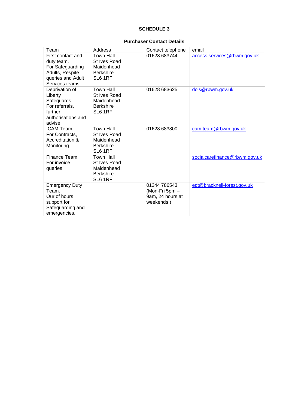#### **SCHEDULE 3**

#### **Purchaser Contact Details**

<span id="page-46-0"></span>

| Team                                                                                                          | Address                                                                              | Contact telephone                                               | email                         |
|---------------------------------------------------------------------------------------------------------------|--------------------------------------------------------------------------------------|-----------------------------------------------------------------|-------------------------------|
| First contact and<br>duty team.<br>For Safeguarding<br>Adults, Respite<br>queries and Adult<br>Services teams | <b>Town Hall</b><br><b>St Ives Road</b><br>Maidenhead<br><b>Berkshire</b><br>SL6 1RF | 01628 683744                                                    | access.services@rbwm.gov.uk   |
| Deprivation of<br>Liberty<br>Safeguards.<br>For referrals,<br>further<br>authorisations and<br>advise.        | <b>Town Hall</b><br><b>St Ives Road</b><br>Maidenhead<br><b>Berkshire</b><br>SL6 1RF | 01628 683625                                                    | dols@rbwm.gov.uk              |
| CAM Team.<br>For Contracts,<br>Accreditation &<br>Monitoring.                                                 | <b>Town Hall</b><br>St Ives Road<br>Maidenhead<br><b>Berkshire</b><br>SL6 1RF        | 01628 683800                                                    | cam.team@rbwm.gov.uk          |
| Finance Team.<br>For invoice<br>queries.                                                                      | <b>Town Hall</b><br>St Ives Road<br>Maidenhead<br><b>Berkshire</b><br>SL6 1RF        |                                                                 | socialcarefinance@rbwm.gov.uk |
| <b>Emergency Duty</b><br>Team.<br>Our of hours<br>support for<br>Safeguarding and<br>emergencies.             |                                                                                      | 01344 786543<br>(Mon-Fri 5pm -<br>9am, 24 hours at<br>weekends) | edt@bracknell-forest.gov.uk   |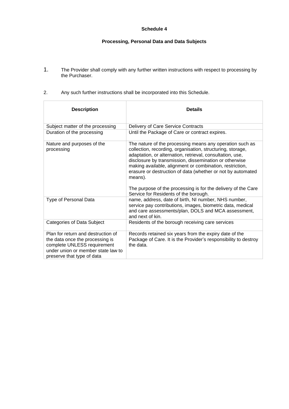#### **Schedule 4**

#### **Processing, Personal Data and Data Subjects**

- 1. The Provider shall comply with any further written instructions with respect to processing by the Purchaser.
- 2. Any such further instructions shall be incorporated into this Schedule.

| <b>Description</b>                                                                                                                                                       | <b>Details</b>                                                                                                                                                                                                                                                                                                                                                                                                                                                                                |
|--------------------------------------------------------------------------------------------------------------------------------------------------------------------------|-----------------------------------------------------------------------------------------------------------------------------------------------------------------------------------------------------------------------------------------------------------------------------------------------------------------------------------------------------------------------------------------------------------------------------------------------------------------------------------------------|
| Subject matter of the processing                                                                                                                                         | Delivery of Care Service Contracts                                                                                                                                                                                                                                                                                                                                                                                                                                                            |
| Duration of the processing                                                                                                                                               | Until the Package of Care or contract expires.                                                                                                                                                                                                                                                                                                                                                                                                                                                |
| Nature and purposes of the<br>processing                                                                                                                                 | The nature of the processing means any operation such as<br>collection, recording, organisation, structuring, storage,<br>adaptation, or alternation, retrieval, consultation, use,<br>disclosure by transmission, dissemination or otherwise<br>making available, alignment or combination, restriction,<br>erasure or destruction of data (whether or not by automated<br>means).<br>The purpose of the processing is for the delivery of the Care<br>Service for Residents of the borough. |
| Type of Personal Data                                                                                                                                                    | name, address, date of birth, NI number, NHS number,<br>service pay contributions, images, biometric data, medical<br>and care assessments/plan, DOLS and MCA assessment,<br>and next of kin.                                                                                                                                                                                                                                                                                                 |
| Categories of Data Subject                                                                                                                                               | Residents of the borough receiving care services                                                                                                                                                                                                                                                                                                                                                                                                                                              |
| Plan for return and destruction of<br>the data once the processing is<br>complete UNLESS requirement<br>under union or member state law to<br>preserve that type of data | Records retained six years from the expiry date of the<br>Package of Care. It is the Provider's responsibility to destroy<br>the data.                                                                                                                                                                                                                                                                                                                                                        |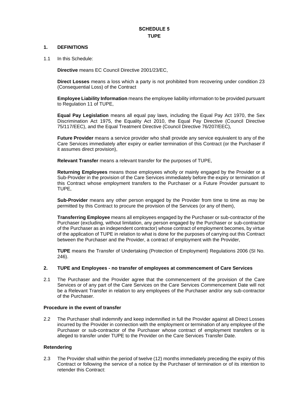#### **SCHEDULE 5 TUPE**

#### **1. DEFINITIONS**

1.1 In this Schedule:

**Directive** means EC Council Directive 2001/23/EC,

**Direct Losses** means a loss which a party is not prohibited from recovering under condition 23 (Consequential Loss) of the Contract

**Employee Liability Information** means the employee liability information to be provided pursuant to Regulation 11 of TUPE,

**Equal Pay Legislation** means all equal pay laws, including the Equal Pay Act 1970, the Sex Discrimination Act 1975, the Equality Act 2010, the Equal Pay Directive (Council Directive 75/117/EEC), and the Equal Treatment Directive (Council Directive 76/207/EEC),

**Future Provider** means a service provider who shall provide any service equivalent to any of the Care Services immediately after expiry or earlier termination of this Contract (or the Purchaser if it assumes direct provision),

**Relevant Transfer** means a relevant transfer for the purposes of TUPE,

**Returning Employees** means those employees wholly or mainly engaged by the Provider or a Sub-Provider in the provision of the Care Services immediately before the expiry or termination of this Contract whose employment transfers to the Purchaser or a Future Provider pursuant to TUPE,

**Sub-Provider** means any other person engaged by the Provider from time to time as may be permitted by this Contract to procure the provision of the Services (or any of them),

**Transferring Employee** means all employees engaged by the Purchaser or sub-contractor of the Purchaser (excluding, without limitation, any person engaged by the Purchaser or sub-contractor of the Purchaser as an independent contractor) whose contract of employment becomes, by virtue of the application of TUPE in relation to what is done for the purposes of carrying out this Contract between the Purchaser and the Provider, a contract of employment with the Provider,

**TUPE** means the Transfer of Undertaking (Protection of Employment) Regulations 2006 (SI No. 246).

#### **2. TUPE and Employees - no transfer of employees at commencement of Care Services**

2.1 The Purchaser and the Provider agree that the commencement of the provision of the Care Services or of any part of the Care Services on the Care Services Commencement Date will not be a Relevant Transfer in relation to any employees of the Purchaser and/or any sub-contractor of the Purchaser.

#### **Procedure in the event of transfer**

2.2 The Purchaser shall indemnify and keep indemnified in full the Provider against all Direct Losses incurred by the Provider in connection with the employment or termination of any employee of the Purchaser or sub-contractor of the Purchaser whose contract of employment transfers or is alleged to transfer under TUPE to the Provider on the Care Services Transfer Date.

#### **Retendering**

2.3 The Provider shall within the period of twelve (12) months immediately preceding the expiry of this Contract or following the service of a notice by the Purchaser of termination or of its intention to retender this Contract: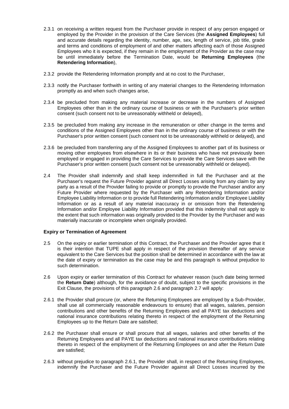- 2.3.1 on receiving a written request from the Purchaser provide in respect of any person engaged or employed by the Provider in the provision of the Care Services (the **Assigned Employees**) full and accurate details regarding the identity, number, age, sex, length of service, job title, grade and terms and conditions of employment of and other matters affecting each of those Assigned Employees who it is expected, if they remain in the employment of the Provider as the case may be until immediately before the Termination Date, would be **Returning Employees** (the **Retendering Information**),
- 2.3.2 provide the Retendering Information promptly and at no cost to the Purchaser,
- 2.3.3 notify the Purchaser forthwith in writing of any material changes to the Retendering Information promptly as and when such changes arise,
- 2.3.4 be precluded from making any material increase or decrease in the numbers of Assigned Employees other than in the ordinary course of business or with the Purchaser's prior written consent (such consent not to be unreasonably withheld or delayed),
- 2.3.5 be precluded from making any increase in the remuneration or other change in the terms and conditions of the Assigned Employees other than in the ordinary course of business or with the Purchaser's prior written consent (such consent not to be unreasonably withheld or delayed), and
- 2.3.6 be precluded from transferring any of the Assigned Employees to another part of its business or moving other employees from elsewhere in its or their business who have not previously been employed or engaged in providing the Care Services to provide the Care Services save with the Purchaser's prior written consent (such consent not be unreasonably withheld or delayed).
- 2.4 The Provider shall indemnify and shall keep indemnified in full the Purchaser and at the Purchaser's request the Future Provider against all Direct Losses arising from any claim by any party as a result of the Provider failing to provide or promptly to provide the Purchaser and/or any Future Provider where requested by the Purchaser with any Retendering Information and/or Employee Liability Information or to provide full Retendering Information and/or Employee Liability Information or as a result of any material inaccuracy in or omission from the Retendering Information and/or Employee Liability Information provided that this indemnity shall not apply to the extent that such information was originally provided to the Provider by the Purchaser and was materially inaccurate or incomplete when originally provided.

#### **Expiry or Termination of Agreement**

- 2.5 On the expiry or earlier termination of this Contract, the Purchaser and the Provider agree that it is their intention that TUPE shall apply in respect of the provision thereafter of any service equivalent to the Care Services but the position shall be determined in accordance with the law at the date of expiry or termination as the case may be and this paragraph is without prejudice to such determination.
- 2.6 Upon expiry or earlier termination of this Contract for whatever reason (such date being termed the **Return Date**) although, for the avoidance of doubt, subject to the specific provisions in the Exit Clause, the provisions of this paragraph 2.6 and paragraph 2.7 will apply:
- 2.6.1 the Provider shall procure (or, where the Returning Employees are employed by a Sub-Provider, shall use all commercially reasonable endeavours to ensure) that all wages, salaries, pension contributions and other benefits of the Returning Employees and all PAYE tax deductions and national insurance contributions relating thereto in respect of the employment of the Returning Employees up to the Return Date are satisfied;
- 2.6.2 the Purchaser shall ensure or shall procure that all wages, salaries and other benefits of the Returning Employees and all PAYE tax deductions and national insurance contributions relating thereto in respect of the employment of the Returning Employees on and after the Return Date are satisfied;
- 2.6.3 without prejudice to paragraph 2.6.1, the Provider shall, in respect of the Returning Employees, indemnify the Purchaser and the Future Provider against all Direct Losses incurred by the